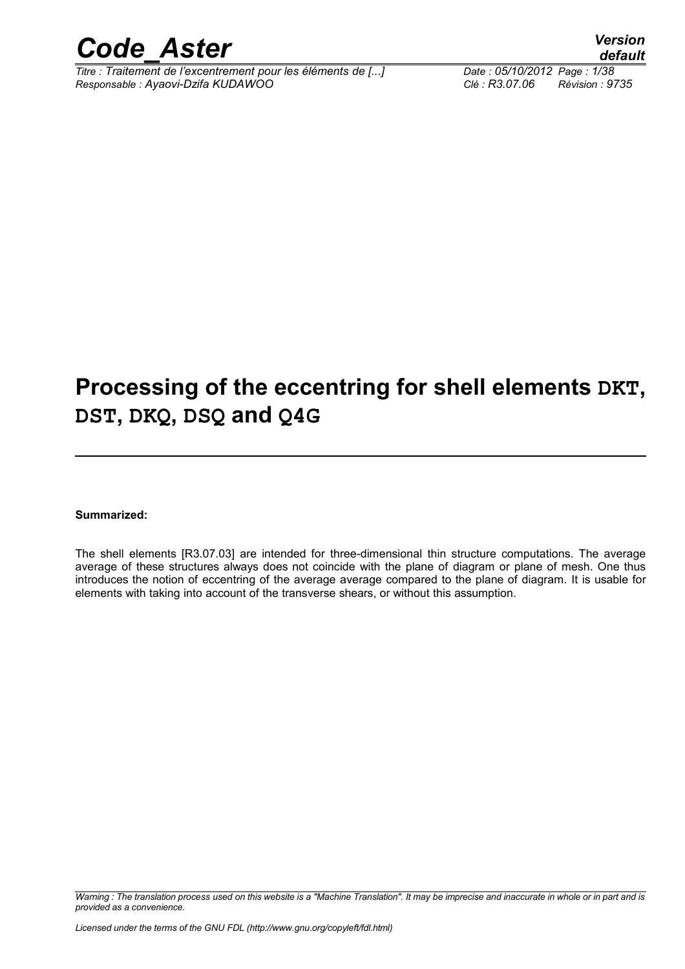

*Titre : Traitement de l'excentrement pour les éléments de [...] Date : 05/10/2012 Page : 1/38 Responsable : Ayaovi-Dzifa KUDAWOO Clé : R3.07.06 Révision : 9735*

## **Processing of the eccentring for shell elements DKT, DST, DKQ, DSQ and Q4G**

#### **Summarized:**

The shell elements [R3.07.03] are intended for three-dimensional thin structure computations. The average average of these structures always does not coincide with the plane of diagram or plane of mesh. One thus introduces the notion of eccentring of the average average compared to the plane of diagram. It is usable for elements with taking into account of the transverse shears, or without this assumption.

*Warning : The translation process used on this website is a "Machine Translation". It may be imprecise and inaccurate in whole or in part and is provided as a convenience.*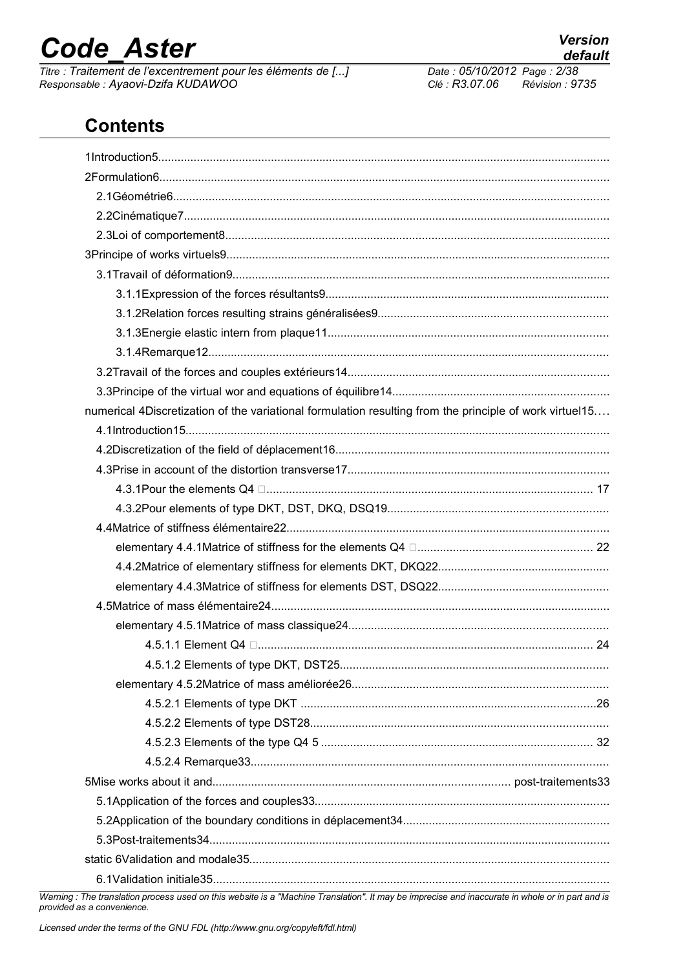# **Code Aster**

Titre : Traitement de l'excentrement pour les éléments de [...] Responsable : Ayaovi-Dzifa KUDAWOO

Date: 05/10/2012 Page: 2/38 Clé : R3.07.06  $Révision : 9735$ 

### **Contents**

| numerical 4Discretization of the variational formulation resulting from the principle of work virtuel15 |  |
|---------------------------------------------------------------------------------------------------------|--|
|                                                                                                         |  |
|                                                                                                         |  |
|                                                                                                         |  |
|                                                                                                         |  |
|                                                                                                         |  |
|                                                                                                         |  |
|                                                                                                         |  |
|                                                                                                         |  |
|                                                                                                         |  |
|                                                                                                         |  |
|                                                                                                         |  |
|                                                                                                         |  |
|                                                                                                         |  |
|                                                                                                         |  |
|                                                                                                         |  |
|                                                                                                         |  |
|                                                                                                         |  |
|                                                                                                         |  |
|                                                                                                         |  |
|                                                                                                         |  |
|                                                                                                         |  |
|                                                                                                         |  |
|                                                                                                         |  |
|                                                                                                         |  |
|                                                                                                         |  |

Warning : The translation process used on this website is a "Machine Translation". It may be imprecise and inaccurate in whole or in part and is provided as a convenience.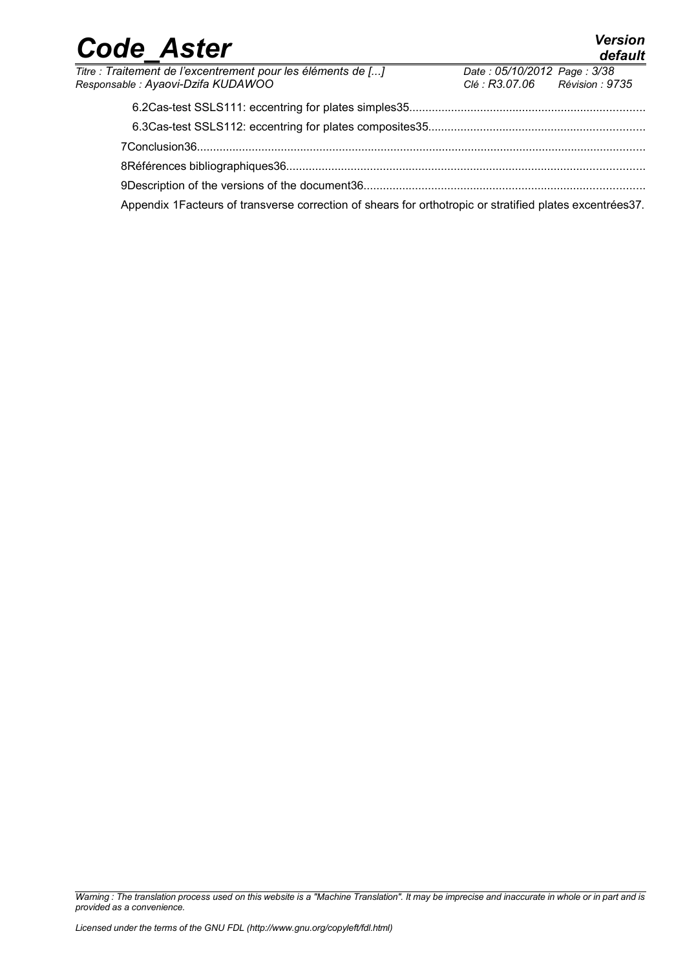| <b>Code Aster</b>                                                                                          |                                | <b>Version</b><br>default |
|------------------------------------------------------------------------------------------------------------|--------------------------------|---------------------------|
| Titre : Traitement de l'excentrement pour les éléments de []                                               | Date: 05/10/2012 Page: 3/38    |                           |
| Responsable : Ayaovi-Dzifa KUDAWOO                                                                         | Clé : R3.07.06 Révision : 9735 |                           |
|                                                                                                            |                                |                           |
|                                                                                                            |                                |                           |
|                                                                                                            |                                |                           |
|                                                                                                            |                                |                           |
|                                                                                                            |                                |                           |
| Appendix 1 Facteurs of transverse correction of shears for orthotropic or stratified plates excentrées 37. |                                |                           |

*Warning : The translation process used on this website is a "Machine Translation". It may be imprecise and inaccurate in whole or in part and is provided as a convenience.*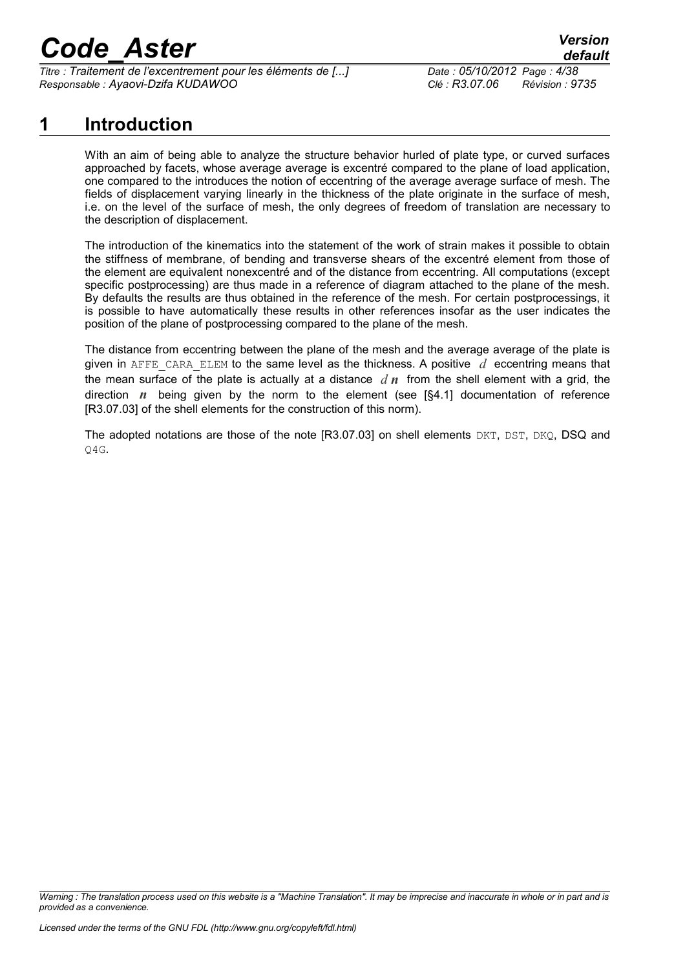*Titre : Traitement de l'excentrement pour les éléments de [...] Date : 05/10/2012 Page : 4/38 Responsable : Ayaovi-Dzifa KUDAWOO Clé : R3.07.06 Révision : 9735*

### **1 Introduction**

With an aim of being able to analyze the structure behavior hurled of plate type, or curved surfaces approached by facets, whose average average is excentré compared to the plane of load application, one compared to the introduces the notion of eccentring of the average average surface of mesh. The fields of displacement varying linearly in the thickness of the plate originate in the surface of mesh, i.e. on the level of the surface of mesh, the only degrees of freedom of translation are necessary to the description of displacement.

The introduction of the kinematics into the statement of the work of strain makes it possible to obtain the stiffness of membrane, of bending and transverse shears of the excentré element from those of the element are equivalent nonexcentré and of the distance from eccentring. All computations (except specific postprocessing) are thus made in a reference of diagram attached to the plane of the mesh. By defaults the results are thus obtained in the reference of the mesh. For certain postprocessings, it is possible to have automatically these results in other references insofar as the user indicates the position of the plane of postprocessing compared to the plane of the mesh.

The distance from eccentring between the plane of the mesh and the average average of the plate is given in AFFE\_CARA\_ELEM to the same level as the thickness. A positive  $d$  eccentring means that the mean surface of the plate is actually at a distance  $d\mathbf{n}$  from the shell element with a grid, the direction *n* being given by the norm to the element (see [§4.1] documentation of reference [R3.07.03] of the shell elements for the construction of this norm).

The adopted notations are those of the note [R3.07.03] on shell elements DKT, DST, DKQ, DSQ and  $O4G.$ 

*Warning : The translation process used on this website is a "Machine Translation". It may be imprecise and inaccurate in whole or in part and is provided as a convenience.*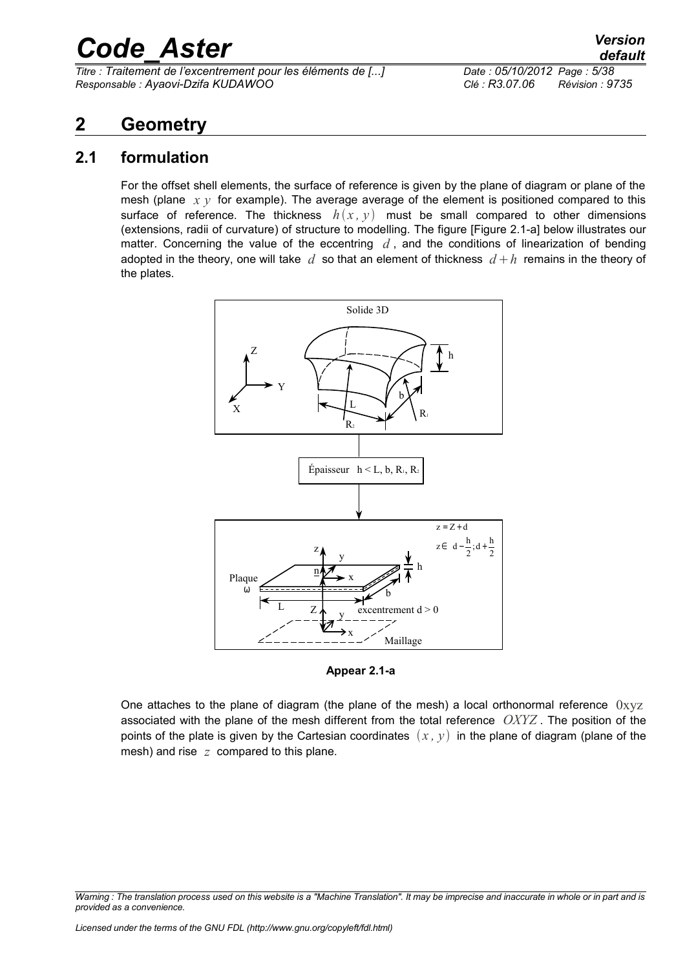*Titre : Traitement de l'excentrement pour les éléments de [...] Date : 05/10/2012 Page : 5/38 Responsable : Ayaovi-Dzifa KUDAWOO Clé : R3.07.06 Révision : 9735*

### **2 Geometry**

### **2.1 formulation**

For the offset shell elements, the surface of reference is given by the plane of diagram or plane of the mesh (plane  $x y$  for example). The average average of the element is positioned compared to this surface of reference. The thickness  $h(x, y)$  must be small compared to other dimensions (extensions, radii of curvature) of structure to modelling. The figure [Figure 2.1-a] below illustrates our matter. Concerning the value of the eccentring  $d$ , and the conditions of linearization of bending adopted in the theory, one will take  $d$  so that an element of thickness  $d+h$  remains in the theory of the plates.



**Appear 2.1-a**

One attaches to the plane of diagram (the plane of the mesh) a local orthonormal reference  $0xyz$ associated with the plane of the mesh different from the total reference *OXYZ* . The position of the points of the plate is given by the Cartesian coordinates  $(x, y)$  in the plane of diagram (plane of the mesh) and rise *z* compared to this plane.

*Warning : The translation process used on this website is a "Machine Translation". It may be imprecise and inaccurate in whole or in part and is provided as a convenience.*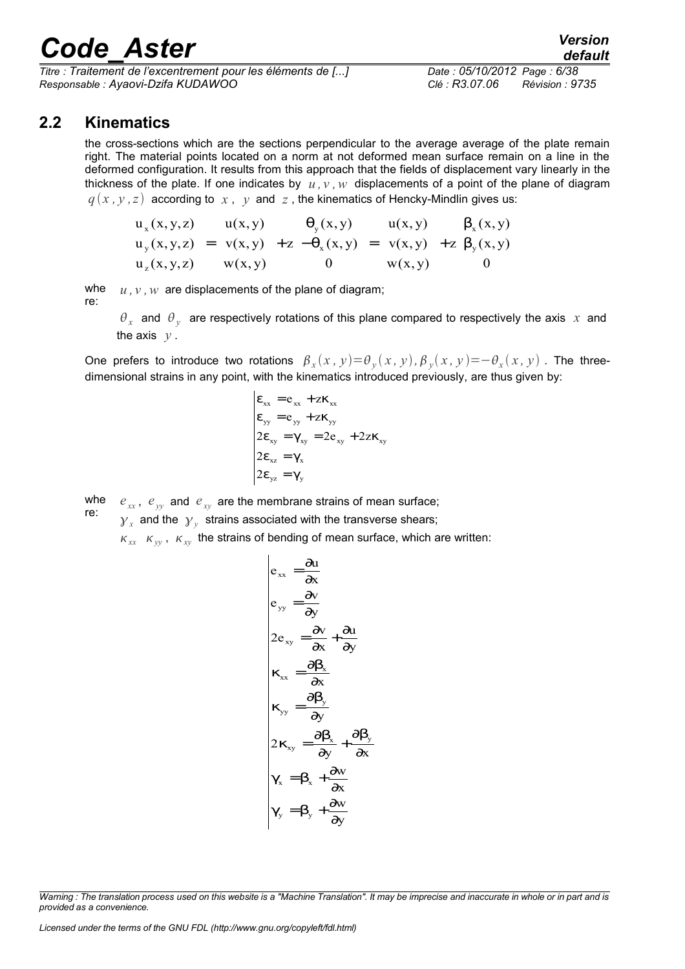*Titre : Traitement de l'excentrement pour les éléments de [...] Date : 05/10/2012 Page : 6/38 Responsable : Ayaovi-Dzifa KUDAWOO Clé : R3.07.06 Révision : 9735*

### **2.2 Kinematics**

the cross-sections which are the sections perpendicular to the average average of the plate remain right. The material points located on a norm at not deformed mean surface remain on a line in the deformed configuration. It results from this approach that the fields of displacement vary linearly in the thickness of the plate. If one indicates by  $u, v, w$  displacements of a point of the plane of diagram  $q(x, y, z)$  according to  $x, y$  and  $z$ , the kinematics of Hencky-Mindlin gives us:

$$
\begin{pmatrix} u_x(x,y,z) \\ u_y(x,y,z) \\ u_z(x,y,z) \end{pmatrix} = \begin{pmatrix} u(x,y) \\ v(x,y) \\ w(x,y) \end{pmatrix} + z \begin{pmatrix} \theta_y(x,y) \\ -\theta_x(x,y) \\ 0 \end{pmatrix} = \begin{pmatrix} u(x,y) \\ v(x,y) \\ w(x,y) \end{pmatrix} + z \begin{pmatrix} \beta_x(x,y) \\ \beta_y(x,y) \\ 0 \end{pmatrix}
$$

whe re:  $u, v, w$  are displacements of the plane of diagram;

> $\theta_x$  and  $\theta_y$  are respectively rotations of this plane compared to respectively the axis x and the axis  $\nu$ .

One prefers to introduce two rotations  $\beta_x(x, y) = \theta_y(x, y)$ ,  $\beta_y(x, y) = -\theta_x(x, y)$ . The threedimensional strains in any point, with the kinematics introduced previously, are thus given by:

$$
\varepsilon_{xx} = e_{xx} + z\kappa_{xx}
$$
\n
$$
\varepsilon_{yy} = e_{yy} + z\kappa_{yy}
$$
\n
$$
2\varepsilon_{xy} = \gamma_{xy} = 2e_{xy} + 2z\kappa_{xy}
$$
\n
$$
2\varepsilon_{xz} = \gamma_x
$$
\n
$$
2\varepsilon_{yz} = \gamma_y
$$

whe  $e_{xx}$ ,  $e_{yy}$  and  $e_{xy}$  are the membrane strains of mean surface; re:

 ${\bf y}_x$  and the  $|{\bf y}_y|$  strains associated with the transverse shears;

 $K_{xx}$   $K_{yy}$ ,  $K_{xy}$  the strains of bending of mean surface, which are written:

$$
e_{xx} = \frac{\partial u}{\partial x}
$$
  
\n
$$
e_{yy} = \frac{\partial v}{\partial y}
$$
  
\n
$$
2e_{xy} = \frac{\partial v}{\partial x} + \frac{\partial u}{\partial y}
$$
  
\n
$$
\kappa_{xx} = \frac{\partial \beta_x}{\partial x}
$$
  
\n
$$
\kappa_{yy} = \frac{\partial \beta_y}{\partial y}
$$
  
\n
$$
2\kappa_{xy} = \frac{\partial \beta_x}{\partial y} + \frac{\partial \beta_y}{\partial x}
$$
  
\n
$$
\gamma_x = \beta_x + \frac{\partial w}{\partial x}
$$
  
\n
$$
\gamma_y = \beta_y + \frac{\partial w}{\partial y}
$$

*Warning : The translation process used on this website is a "Machine Translation". It may be imprecise and inaccurate in whole or in part and is provided as a convenience.*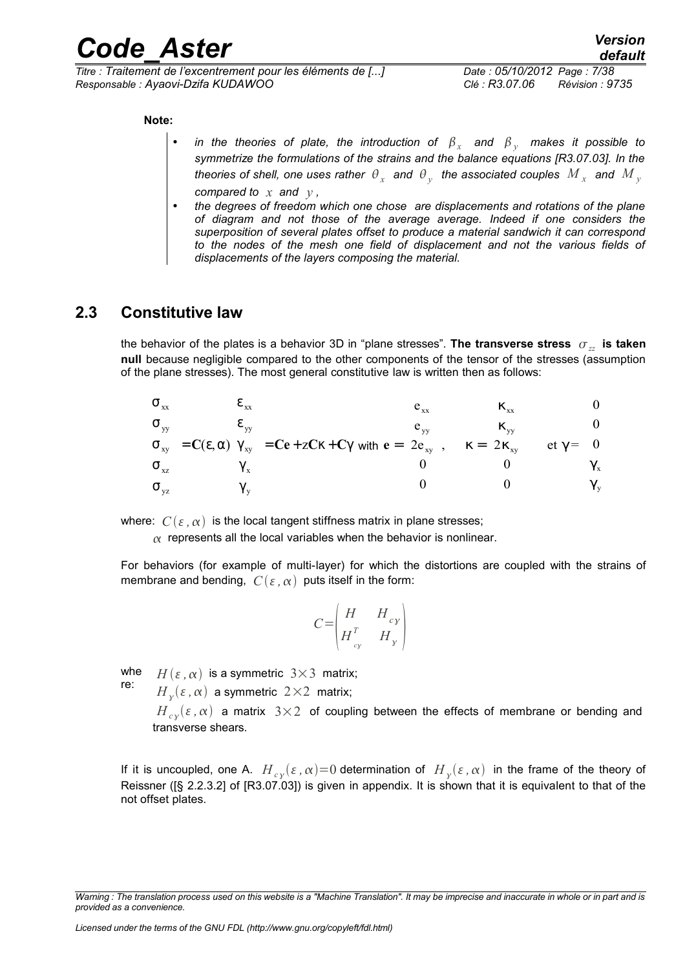*Responsable : Ayaovi-Dzifa KUDAWOO Clé : R3.07.06 Révision : 9735*

#### **Note:**

- $\bullet$  in the theories of plate, the introduction of  $\beta_{\scriptscriptstyle \mathcal{X}}$  and  $\beta_{\scriptscriptstyle \mathcal{Y}}$  makes it possible to *symmetrize the formulations of the strains and the balance equations [R3.07.03]. In the* theories of shell, one uses rather  $\,\theta_{\,x}\,$  and  $\,\theta_{\,y}\,$  the associated couples  $\,M_{\,x}\,$  and  $\,M_{\,y}\,$ *compared to x and y ,*
- *the degrees of freedom which one chose are displacements and rotations of the plane of diagram and not those of the average average. Indeed if one considers the superposition of several plates offset to produce a material sandwich it can correspond to the nodes of the mesh one field of displacement and not the various fields of displacements of the layers composing the material.*

### **2.3 Constitutive law**

the behavior of the plates is a behavior 3D in "plane stresses". **The transverse stress**  $\sigma_{zz}$  is taken **null** because negligible compared to the other components of the tensor of the stresses (assumption of the plane stresses). The most general constitutive law is written then as follows:

$$
\begin{pmatrix}\n\sigma_{xx} \\
\sigma_{yy} \\
\sigma_{xy} \\
\sigma_{xz} \\
\sigma_{yz}\n\end{pmatrix} = C(\varepsilon, \alpha) \begin{pmatrix}\n\varepsilon_{xx} \\
\varepsilon_{yy} \\
\gamma_{xy} \\
\gamma_x \\
\gamma_y\n\end{pmatrix} = C\mathbf{e} + zC\kappa + C\gamma \text{ with } \mathbf{e} = \begin{pmatrix}\n\mathbf{e}_{xx} \\
\mathbf{e}_{yy} \\
2\mathbf{e}_{xy} \\
0 \\
0\n\end{pmatrix} \qquad \kappa = \begin{pmatrix}\n\kappa_{xx} \\
\kappa_{yy} \\
2\kappa_{xy} \\
0 \\
0 \\
0\n\end{pmatrix} \qquad \mathbf{e}t \gamma = \begin{pmatrix}\n0 \\
0 \\
0 \\
0 \\
\gamma_x \\
\gamma_y\n\end{pmatrix}
$$

where:  $C(\varepsilon, \alpha)$  is the local tangent stiffness matrix in plane stresses;

 $\alpha$  represents all the local variables when the behavior is nonlinear.

For behaviors (for example of multi-layer) for which the distortions are coupled with the strains of membrane and bending,  $C(\varepsilon, \alpha)$  puts itself in the form:

$$
C = \begin{pmatrix} H & H_{cy} \\ H_{cy}^T & H_y \end{pmatrix}
$$

whe  $H(\varepsilon, \alpha)$  is a symmetric  $3{\times}3$  matrix; re:

 $H_{\overline{\chi}}(\varepsilon\,,\alpha)$  a symmetric  $\,2\!\times\!2\,$  matrix;

 ${H}_{c}^{~}(\varepsilon$  ,  $\alpha)$  a matrix  $~3{\times}2~$  of coupling between the effects of membrane or bending and transverse shears.

If it is uncoupled, one A.  $H_{c\gamma}(\varepsilon\,,\alpha)$  = 0 determination of  $H_{\gamma}(\varepsilon\,,\alpha)\,$  in the frame of the theory of Reissner ([§ 2.2.3.2] of [R3.07.03]) is given in appendix. It is shown that it is equivalent to that of the not offset plates.

*Warning : The translation process used on this website is a "Machine Translation". It may be imprecise and inaccurate in whole or in part and is provided as a convenience.*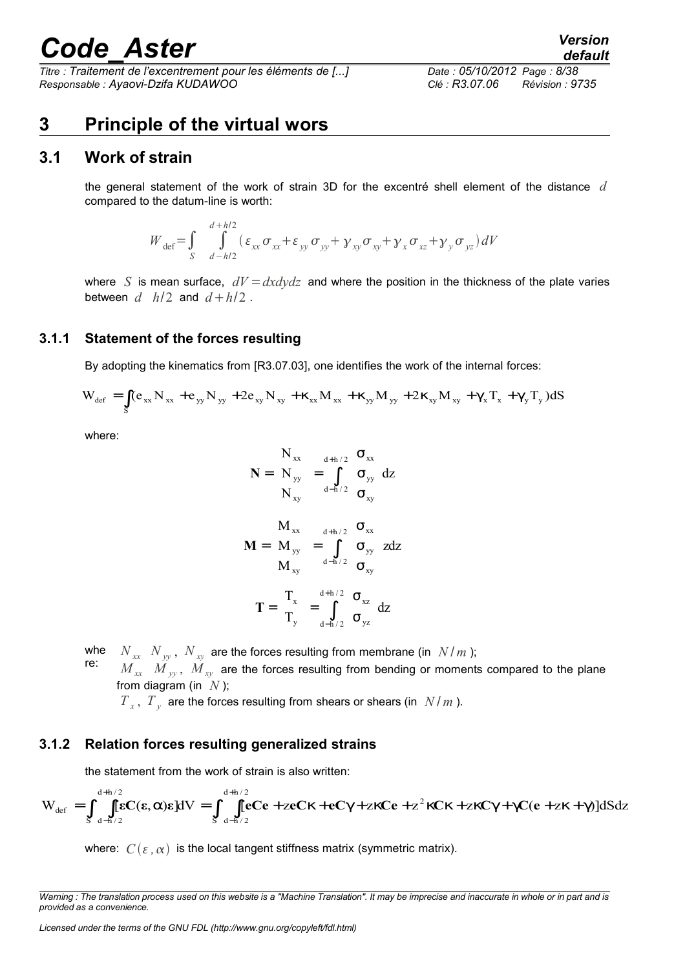*Titre : Traitement de l'excentrement pour les éléments de [...] Date : 05/10/2012 Page : 8/38 Responsable : Ayaovi-Dzifa KUDAWOO Clé : R3.07.06 Révision : 9735*

### **3 Principle of the virtual wors**

#### **3.1 Work of strain**

the general statement of the work of strain 3D for the excentré shell element of the distance *d* compared to the datum-line is worth:

$$
W_{\text{def}} = \int_{S} \int_{d-h/2}^{d+h/2} \left( \varepsilon_{xx} \sigma_{xx} + \varepsilon_{yy} \sigma_{yy} + \gamma_{xy} \sigma_{xy} + \gamma_{x} \sigma_{xz} + \gamma_{y} \sigma_{yz} \right) dV
$$

where *S* is mean surface,  $dV = dx dy dz$  and where the position in the thickness of the plate varies between  $d \, h/2$  and  $d+h/2$ .

#### **3.1.1 Statement of the forces resulting**

By adopting the kinematics from [R3.07.03], one identifies the work of the internal forces:

$$
W_{\text{def}} = \int\limits_{S} (e_{xx} N_{xx} + e_{yy} N_{yy} + 2e_{xy} N_{xy} + \kappa_{xx} M_{xx} + \kappa_{yy} M_{yy} + 2 \kappa_{xy} M_{xy} + \gamma_x T_x + \gamma_y T_y) dS
$$

where:

$$
\mathbf{N} = \begin{pmatrix} N_{xx} \\ N_{yy} \\ N_{xy} \end{pmatrix} = \int_{d-h/2}^{d+h/2} \begin{pmatrix} \sigma_{xx} \\ \sigma_{yy} \\ \sigma_{xy} \end{pmatrix} dz
$$

$$
\mathbf{M} = \begin{pmatrix} M_{xx} \\ M_{yy} \\ M_{xy} \end{pmatrix} = \int_{d-h/2}^{d+h/2} \begin{pmatrix} \sigma_{xx} \\ \sigma_{yy} \\ \sigma_{xy} \end{pmatrix} z dz
$$

$$
\mathbf{T} = \begin{pmatrix} T_x \\ T_y \end{pmatrix} = \int_{d-h/2}^{d+h/2} \begin{pmatrix} \sigma_{xz} \\ \sigma_{xz} \\ \sigma_{yz} \end{pmatrix} dz
$$

whe  $N_{xx}$   $N_{yy}$ ,  $N_{xy}$  are the forces resulting from membrane (in  $N/m$ );

re:  $M_{xx}$   $M_{yy}$ ,  $M_{xy}$  are the forces resulting from bending or moments compared to the plane from diagram (in *N* );

 $T_{\rm x}$ ,  $T_{\rm y}$  are the forces resulting from shears or shears (in  $\left\lfloor N/m\right\rfloor$ ).

#### **3.1.2 Relation forces resulting generalized strains**

the statement from the work of strain is also written:

$$
W_{\text{def}} = \int\limits_S \int\limits_{d-h/2}^{d+h/2} [\epsilon C(\epsilon,\alpha) \epsilon] dV = \int\limits_S \int\limits_{d-h/2}^{d+h/2} [\epsilon C e + zeC\kappa + eC\gamma + z\kappa C e + z^2\kappa C \kappa + z\kappa C \gamma + \gamma C(e + z\kappa + \gamma)] dS dz
$$

where:  $C(\varepsilon, \alpha)$  is the local tangent stiffness matrix (symmetric matrix).

*Warning : The translation process used on this website is a "Machine Translation". It may be imprecise and inaccurate in whole or in part and is provided as a convenience.*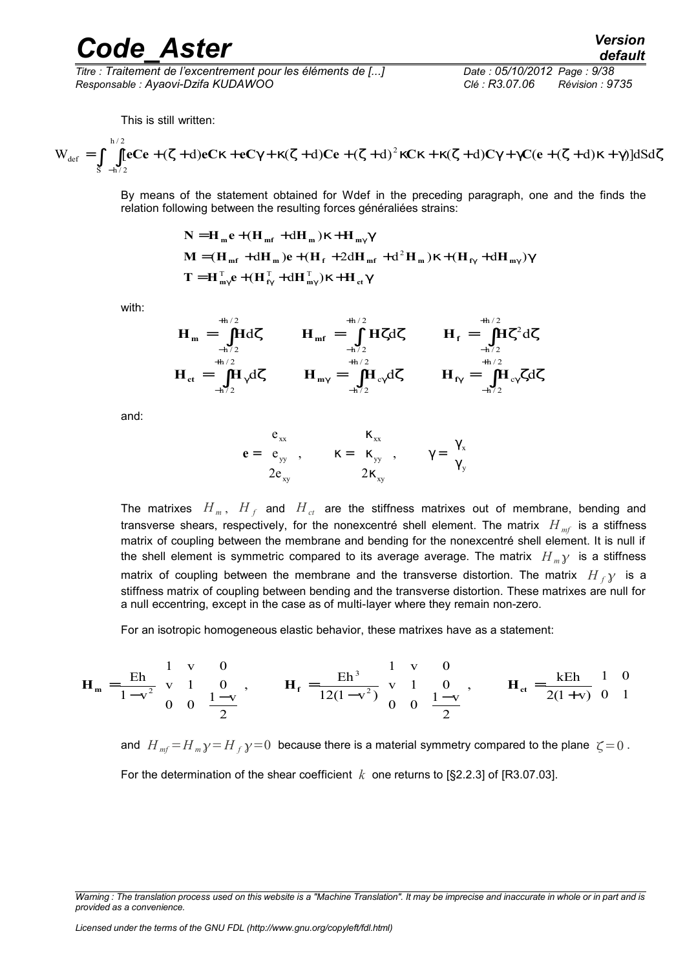*Titre : Traitement de l'excentrement pour les éléments de [...] Date : 05/10/2012 Page : 9/38 Responsable : Ayaovi-Dzifa KUDAWOO Clé : R3.07.06 Révision : 9735*

This is still written:

$$
W_{def} = \int_{S} \int_{-h/2} [eCe + (\zeta + d)eC\kappa + eC\gamma + \kappa(\zeta + d)Ce + (\zeta + d)^2 \kappa C\kappa + \kappa(\zeta + d)C\gamma + \gamma C(e + (\zeta + d)\kappa + \gamma)] dS d\zeta
$$

By means of the statement obtained for Wdef in the preceding paragraph, one and the finds the relation following between the resulting forces généraliées strains:

$$
N = H_m e + (H_{mf} + dH_m) \kappa + H_{m\gamma} \gamma
$$
  
\n
$$
M = (H_{mf} + dH_m) e + (H_f + 2dH_{mf} + d^2H_m) \kappa + (H_{f\gamma} + dH_{m\gamma}) \gamma
$$
  
\n
$$
T = H_{m\gamma}^T e + (H_{f\gamma}^T + dH_{m\gamma}^T) \kappa + H_{cf} \gamma
$$

with:

h  $/$  2

∫ ∫ ∫ + − + − + − = ζ = ζ ζ = ζ ζ h / 2 h / 2 h / 2 h / 2 2 h / 2 h / 2 **H <sup>m</sup> H**d **H mf H** d **H<sup>f</sup> H** d ∫ ∫ ∫ + − γ γ + − γ γ + − = <sup>γ</sup> ζ = ζ = ζ ζ h / 2 h / 2 c h / 2 h / 2 c h / 2 h / 2 **Hct H** d **H <sup>m</sup> H** d **H<sup>f</sup> H** d

and:

$$
\mathbf{e} = \begin{pmatrix} e_{xx} \\ e_{yy} \\ 2e_{xy} \end{pmatrix} \qquad \kappa = \begin{pmatrix} \kappa_{xx} \\ \kappa_{yy} \\ 2\kappa_{xy} \end{pmatrix} \qquad \gamma = \begin{pmatrix} \gamma_x \\ \gamma_y \end{pmatrix}
$$

The matrixes  $H_m$ ,  $H_f$  and  $H_{ct}$  are the stiffness matrixes out of membrane, bending and transverse shears, respectively, for the nonexcentré shell element. The matrix  $H_{\text{mf}}$  is a stiffness matrix of coupling between the membrane and bending for the nonexcentré shell element. It is null if the shell element is symmetric compared to its average average. The matrix  $H_m y$  is a stiffness matrix of coupling between the membrane and the transverse distortion. The matrix  $H_f \gamma$  is a stiffness matrix of coupling between bending and the transverse distortion. These matrixes are null for a null eccentring, except in the case as of multi-layer where they remain non-zero.

For an isotropic homogeneous elastic behavior, these matrixes have as a statement:

$$
\mathbf{H}_{m} = \frac{\mathrm{E}h}{1 - v^{2}} \begin{pmatrix} 1 & v & 0 \\ v & 1 & 0 \\ 0 & 0 & \frac{1 - v}{2} \end{pmatrix} \qquad \mathbf{H}_{f} = \frac{\mathrm{E}h^{3}}{12(1 - v^{2})} \begin{pmatrix} 1 & v & 0 \\ v & 1 & 0 \\ 0 & 0 & \frac{1 - v}{2} \end{pmatrix} \qquad \mathbf{H}_{ct} = \frac{k \mathrm{E}h}{2(1 + v)} \begin{pmatrix} 1 & 0 \\ 0 & 1 \end{pmatrix}
$$

and  $H_{mf} = H_m y = H_f y = 0$  because there is a material symmetry compared to the plane  $\zeta = 0$ .

For the determination of the shear coefficient *k* one returns to [§2.2.3] of [R3.07.03].

*Warning : The translation process used on this website is a "Machine Translation". It may be imprecise and inaccurate in whole or in part and is provided as a convenience.*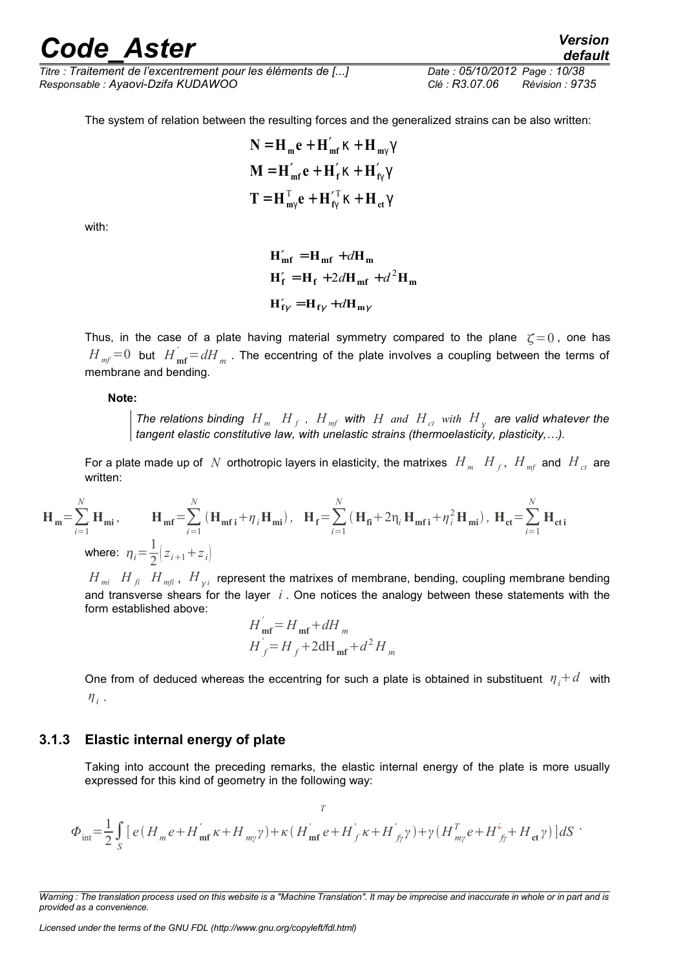*Titre : Traitement de l'excentrement pour les éléments de [...] Date : 05/10/2012 Page : 10/38 Responsable : Ayaovi-Dzifa KUDAWOO Clé : R3.07.06 Révision : 9735*

The system of relation between the resulting forces and the generalized strains can be also written:

$$
N = H_m e + H'_{mf} \kappa + H_{m\gamma} \gamma
$$
  

$$
M = H'_{mf} e + H'_{f} \kappa + H'_{f\gamma} \gamma
$$
  

$$
T = H^{T}_{m\gamma} e + H'^{T}_{f\gamma} \kappa + H_{ct} \gamma
$$

with:

 $H'_{\text{mf}} = H_{\text{mf}} + dH_{\text{m}}$  $H'_f = H_f + 2dH_{mf} + d^2H_m$  $H'_{f\gamma} = H_{f\gamma} + dH_{m\gamma}$ 

Thus, in the case of a plate having material symmetry compared to the plane  $\zeta = 0$ , one has  $H_{\textit{mf}} = 0$  but  $H^{'}_{\textit{mf}} = dH_{\textit{m}}$  . The eccentring of the plate involves a coupling between the terms of membrane and bending.

**Note:**

*The relations binding*  $H_m$  $H_f$ *,*  $H_{mf}$  *with*  $H$  *and*  $H_{ct}$  *with*  $H_{\gamma}$  *are valid whatever the tangent elastic constitutive law, with unelastic strains (thermoelasticity, plasticity,…).*

For a plate made up of  $N$  orthotropic layers in elasticity, the matrixes  $H_m$   $H_f$ ,  $H_{mf}$  and  $H_{ct}$  are written:

$$
\mathbf{H}_{\mathbf{m}} = \sum_{i=1}^{N} \mathbf{H}_{\mathbf{m}i}, \qquad \mathbf{H}_{\mathbf{m}f} = \sum_{i=1}^{N} \left( \mathbf{H}_{\mathbf{m}f i} + \eta_{i} \mathbf{H}_{\mathbf{m}i} \right), \quad \mathbf{H}_{f} = \sum_{i=1}^{N} \left( \mathbf{H}_{f i} + 2 \eta_{i} \mathbf{H}_{\mathbf{m}f i} + \eta_{i}^{2} \mathbf{H}_{\mathbf{m}i} \right), \quad \mathbf{H}_{\mathbf{ct}} = \sum_{i=1}^{N} \mathbf{H}_{\mathbf{ct}} \mathbf{H}_{\mathbf{m}f i} + \eta_{i}^{2} \mathbf{H}_{\mathbf{m}f i} + \eta_{i}^{2} \mathbf{H}_{\mathbf{m}f i} + \eta_{i}^{2} \mathbf{H}_{\mathbf{m}f i} \mathbf{H}_{\mathbf{ct}} \mathbf{H}_{\mathbf{ct}} \mathbf{H}_{\mathbf{ct}} \mathbf{H}_{\mathbf{ct}} \mathbf{H}_{\mathbf{ct}} \mathbf{H}_{\mathbf{ct}} \mathbf{H}_{\mathbf{ct}} \mathbf{H}_{\mathbf{ct}} \mathbf{H}_{\mathbf{ct}} \mathbf{H}_{\mathbf{ct}} \mathbf{H}_{\mathbf{ct}} \mathbf{H}_{\mathbf{ct}} \mathbf{H}_{\mathbf{ct}} \mathbf{H}_{\mathbf{ct}} \mathbf{H}_{\mathbf{ct}} \mathbf{H}_{\mathbf{ct}} \mathbf{H}_{\mathbf{ct}} \mathbf{H}_{\mathbf{ct}} \mathbf{H}_{\mathbf{ct}} \mathbf{H}_{\mathbf{ct}} \mathbf{H}_{\mathbf{ct}} \mathbf{H}_{\mathbf{ct}} \mathbf{H}_{\mathbf{ct}} \mathbf{H}_{\mathbf{ct}} \mathbf{H}_{\mathbf{ct}} \mathbf{H}_{\mathbf{ct}} \mathbf{H}_{\mathbf{ct}} \mathbf{H}_{\mathbf{ct}} \mathbf{H}_{\mathbf{ct}} \mathbf{H}_{\mathbf{ct}} \mathbf{H}_{\mathbf{ct}} \mathbf{H}_{\mathbf{ct}} \mathbf{H}_{\mathbf{ct}} \mathbf{H}_{\mathbf{ct}} \mathbf{H}_{\mathbf{ct}} \mathbf{H}_{\mathbf{ct}} \mathbf{H}_{\mathbf{ct}} \mathbf{
$$

*'*

 $H_{_{mi}}$   $H_{_{fi}}$   $H_{_{mj}}$  ,  $H_{_{\gamma i}}$  represent the matrixes of membrane, bending, coupling membrane bending and transverse shears for the layer *i* . One notices the analogy between these statements with the form established above:

$$
H'_{\text{mf}} = H_{\text{mf}} + dH_m
$$
  

$$
H'_{f} = H_f + 2dH_{\text{mf}} + d^2H_m
$$

One from of deduced whereas the eccentring for such a plate is obtained in substituent  $\eta_i + d$  with *ηi* .

#### **3.1.3 Elastic internal energy of plate**

Taking into account the preceding remarks, the elastic internal energy of the plate is more usually expressed for this kind of geometry in the following way:

$$
\Phi_{\rm int} = \frac{1}{2} \int_{S} \left[ e \left( H_{m} e + H_{\rm int}' \kappa + H_{m\gamma} \gamma \right) + \kappa \left( H_{\rm int}' e + H_{f}^{'} \kappa + H_{f\gamma}' \gamma \right) + \gamma \left( H_{m\gamma}^{T} e + H_{f\gamma}^{t} + H_{\rm ct} \gamma \right) \right] dS
$$

*Warning : The translation process used on this website is a "Machine Translation". It may be imprecise and inaccurate in whole or in part and is provided as a convenience.*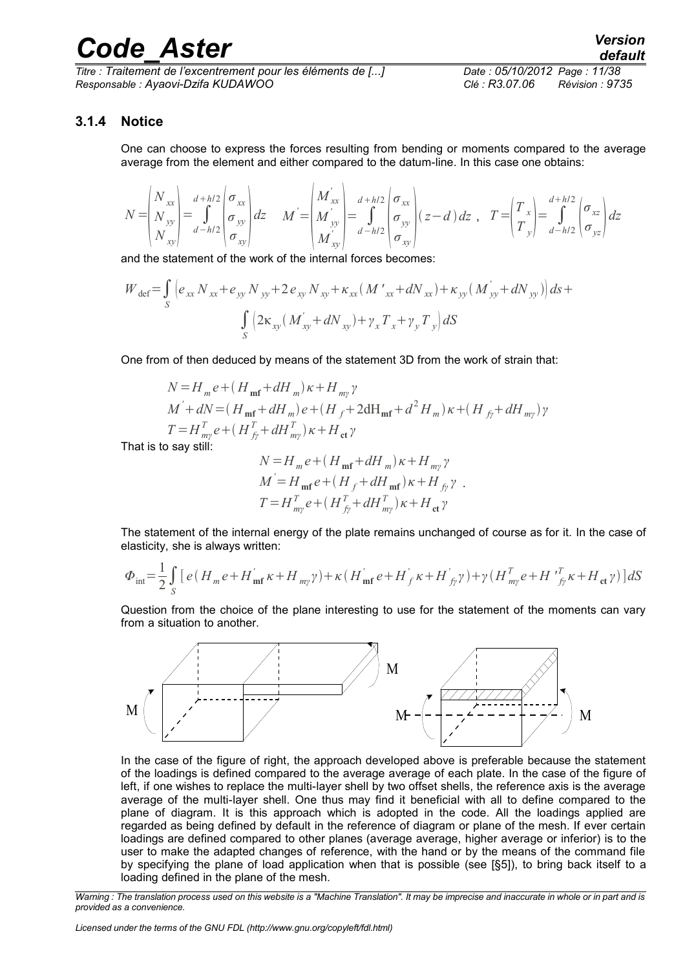*Titre : Traitement de l'excentrement pour les éléments de [...] Date : 05/10/2012 Page : 11/38 Responsable : Ayaovi-Dzifa KUDAWOO Clé : R3.07.06 Révision : 9735*

#### **3.1.4 Notice**

One can choose to express the forces resulting from bending or moments compared to the average average from the element and either compared to the datum-line. In this case one obtains:

$$
N = \begin{pmatrix} N_{xx} \\ N_{yy} \\ N_{xy} \end{pmatrix} = \int_{d-h/2}^{d+h/2} \begin{pmatrix} \sigma_{xx} \\ \sigma_{yy} \\ \sigma_{xy} \end{pmatrix} dz \qquad M = \begin{pmatrix} M'_{xx} \\ M'_{yy} \\ M'_{xy} \end{pmatrix} = \int_{d-h/2}^{d+h/2} \begin{pmatrix} \sigma_{xx} \\ \sigma_{yy} \\ \sigma_{xy} \end{pmatrix} (z-d) dz \qquad T = \begin{pmatrix} T_x \\ T_y \end{pmatrix} = \int_{d-h/2}^{d+h/2} \begin{pmatrix} \sigma_{xz} \\ \sigma_{yz} \end{pmatrix} dz
$$

and the statement of the work of the internal forces becomes:

$$
W_{\text{def}} = \int_{S} \left( e_{xx} N_{xx} + e_{yy} N_{yy} + 2 e_{xy} N_{xy} + \kappa_{xx} (M'_{xx} + dN_{xx}) + \kappa_{yy} (M'_{yy} + dN_{yy}) \right) ds +
$$
  

$$
\int_{S} \left( 2 \kappa_{xy} (M'_{xy} + dN_{xy}) + \gamma_{x} T_{x} + \gamma_{y} T_{y} \right) dS
$$

One from of then deduced by means of the statement 3D from the work of strain that:

$$
N = H_m e + (H_{\text{mf}} + dH_m) \kappa + H_{m\gamma} \gamma
$$
  
\n
$$
M' + dN = (H_{\text{mf}} + dH_m) e + (H_f + 2dH_{\text{mf}} + d^2 H_m) \kappa + (H_{f\gamma} + dH_{m\gamma}) \gamma
$$
  
\n
$$
T = H_{mp}^T e + (H_{f\gamma}^T + dH_{m\gamma}^T) \kappa + H_{\text{ct}} \gamma
$$

That is to say still:

$$
N = H_{m}e + (H_{m} + dH_{m})\kappa + H_{m\gamma}\gamma
$$
  
\n
$$
M = H_{m}e + (H_{f} + dH_{m} + \kappa) \kappa + H_{f\gamma}\gamma
$$
  
\n
$$
T = H_{mp}^{T}e + (H_{f\gamma}^{T} + dH_{mp}^{T})\kappa + H_{ct}\gamma
$$

The statement of the internal energy of the plate remains unchanged of course as for it. In the case of elasticity, she is always written:

$$
\Phi_{int} = \frac{1}{2} \int_{S} \left[ e \left( H_m e + H_{mf}^{'} \kappa + H_{my} \gamma \right) + \kappa \left( H_{mf}^{'} e + H_{f}^{'} \kappa + H_{f}^{'} \gamma \right) + \gamma \left( H_{my}^{T} e + H_{f}^{'} \kappa + H_{ct} \gamma \right) \right] dS
$$

Question from the choice of the plane interesting to use for the statement of the moments can vary from a situation to another.



In the case of the figure of right, the approach developed above is preferable because the statement of the loadings is defined compared to the average average of each plate. In the case of the figure of left, if one wishes to replace the multi-layer shell by two offset shells, the reference axis is the average average of the multi-layer shell. One thus may find it beneficial with all to define compared to the plane of diagram. It is this approach which is adopted in the code. All the loadings applied are regarded as being defined by default in the reference of diagram or plane of the mesh. If ever certain loadings are defined compared to other planes (average average, higher average or inferior) is to the user to make the adapted changes of reference, with the hand or by the means of the command file by specifying the plane of load application when that is possible (see [§5]), to bring back itself to a loading defined in the plane of the mesh.

*Warning : The translation process used on this website is a "Machine Translation". It may be imprecise and inaccurate in whole or in part and is provided as a convenience.*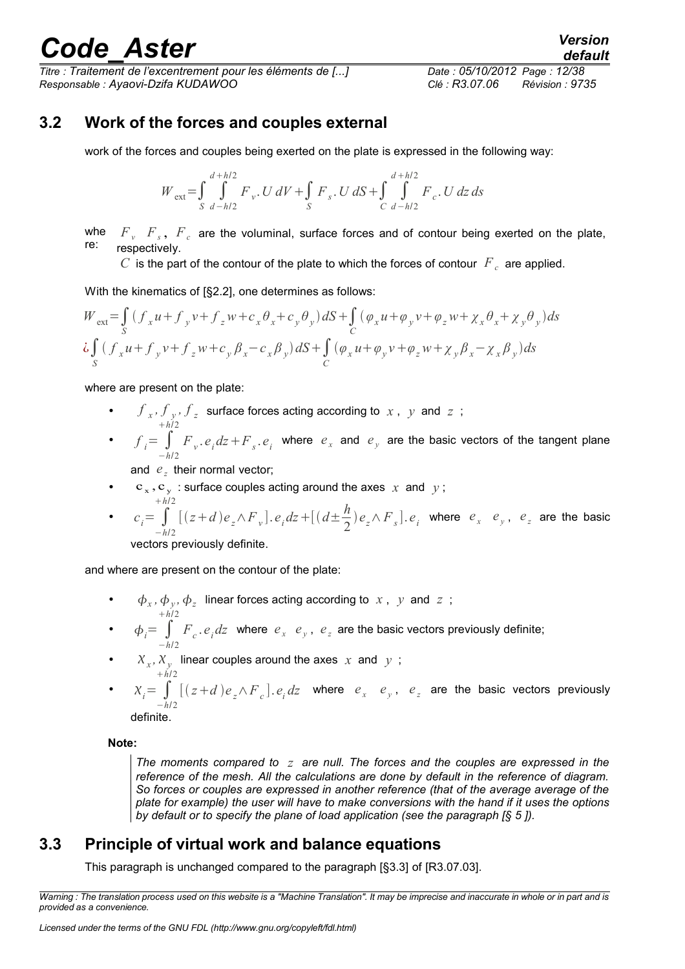*Titre : Traitement de l'excentrement pour les éléments de [...] Date : 05/10/2012 Page : 12/38 Responsable : Ayaovi-Dzifa KUDAWOO Clé : R3.07.06 Révision : 9735*

*default*

### **3.2 Work of the forces and couples external**

work of the forces and couples being exerted on the plate is expressed in the following way:

$$
W_{\text{ext}} = \int_{S}^{d+h/2} \int_{d-h/2}^{d+h/2} F_{v} \cdot U \, dV + \int_{S} F_{s} \cdot U \, dS + \int_{C}^{d+h/2} \int_{d-h/2}^{d+h/2} F_{c} \cdot U \, dz \, ds
$$

whe  $F$ <sub>*v*</sub>  $F$ <sub>*s*</sub>,  $F$ <sub>*c*</sub> are the voluminal, surface forces and of contour being exerted on the plate, re: respectively.

 $C$  is the part of the contour of the plate to which the forces of contour  $\overline{F}_c$  are applied.

With the kinematics of [§2.2], one determines as follows:

$$
W_{ext} = \int_{S} (f_x u + f_y v + f_z w + c_x \theta_x + c_y \theta_y) dS + \int_{C} (\varphi_x u + \varphi_y v + \varphi_z w + \chi_x \theta_x + \chi_y \theta_y) ds
$$
  
\n
$$
\dot{\zeta} \int_{S} (f_x u + f_y v + f_z w + c_y \beta_x - c_x \beta_y) dS + \int_{C} (\varphi_x u + \varphi_y v + \varphi_z w + \chi_y \beta_x - \chi_x \beta_y) ds
$$

where are present on the plate:

- $f_x, f_y, f_z$  surface forces acting according to  $x$ ,  $y$  and  $z$ ;
- $f_i = \int$ −*h*/2 *h*/2  $F_v$ ,  $e_i$  *dz* +  $F_s$ ,  $e_i$  where  $e_x$  and  $e_y$  are the basic vectors of the tangent plane

and  $e_z$  their normal vector;

- $c_x, c_y$ : surface couples acting around the axes  $x$  and  $y$ ;
- $c_i = \int$ −*h*/2 *h*/2  $[(z+d)e_z \wedge F_v].e_i dz + [(d\pm \frac{h}{2})]$  $\frac{n}{2}$ ) $e_z \wedge F_s$ ]. $e_i$  where  $e_x$   $e_y$ ,  $e_z$  are the basic

vectors previously definite.

and where are present on the contour of the plate:

- $\phi_x$ ,  $\phi_y$ ,  $\phi_z$  linear forces acting according to *x*, *y* and *z*;
- $\phi_i = \int$ −*h*/2 *h*/2  $F_c$ .  $e_i$ *dz* where  $e_x$   $e_y$ ,  $e_z$  are the basic vectors previously definite;
- $X_x, X_y$  linear couples around the axes *x* and *y*; *h*/2
- $\chi_i = \int$ −*h*/2  $[(z+d)e_z \wedge F_c]$ .  $e_i dz$  where  $e_x$   $e_y$ ,  $e_z$  are the basic vectors previously definite.

**Note:**

*The moments compared to z are null. The forces and the couples are expressed in the reference of the mesh. All the calculations are done by default in the reference of diagram. So forces or couples are expressed in another reference (that of the average average of the plate for example) the user will have to make conversions with the hand if it uses the options by default or to specify the plane of load application (see the paragraph [§ [5](#page-30-0) ]).*

### **3.3 Principle of virtual work and balance equations**

This paragraph is unchanged compared to the paragraph [§3.3] of [R3.07.03].

*Warning : The translation process used on this website is a "Machine Translation". It may be imprecise and inaccurate in whole or in part and is provided as a convenience.*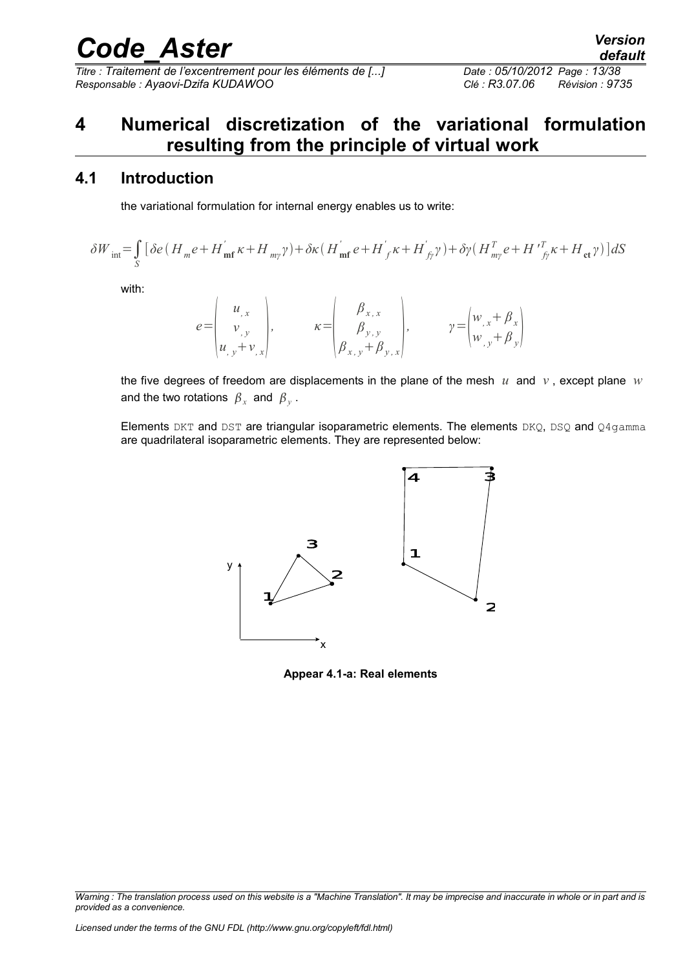*Titre : Traitement de l'excentrement pour les éléments de [...] Date : 05/10/2012 Page : 13/38 Responsable : Ayaovi-Dzifa KUDAWOO Clé : R3.07.06 Révision : 9735*

### **4 Numerical discretization of the variational formulation resulting from the principle of virtual work**

#### **4.1 Introduction**

the variational formulation for internal energy enables us to write:

$$
\delta W_{\text{int}} \!=\! \int\limits_S \big[ \delta e \, \big(\,H_{\text{m}} e \!+\! H_{\text{m} \text{f}}^\text{'} \, \kappa \!+\! H_{\text{m} \gamma} \gamma \big) \!+\! \delta \kappa \, \big(\,H_{\text{m} \text{f}}^\text{'} \, e \!+\! H_{\text{f}}^\text{'} \kappa \!+\! H_{\text{f} \gamma}^\text{'} \gamma \big) \!+\! \delta \gamma \big(\,H_{\text{m} \gamma}^T \, e \!+\! H_{\text{f} \gamma}^T \kappa \!+\! H_{\text{ct}} \,\gamma \big) \,\big] dS
$$

with:

$$
e = \begin{pmatrix} u_{,x} \\ v_{,y} \\ u_{,y} + v_{,x} \end{pmatrix}, \qquad \kappa = \begin{pmatrix} \beta_{x,x} \\ \beta_{y,y} \\ \beta_{x,y} + \beta_{y,x} \end{pmatrix}, \qquad \gamma = \begin{pmatrix} w_{,x} + \beta_{x} \\ w_{,y} + \beta_{y} \end{pmatrix}
$$

the five degrees of freedom are displacements in the plane of the mesh  $u$  and  $v$ , except plane  $w$ and the two rotations  $\beta_x$  and  $\beta_y$ .

Elements DKT and DST are triangular isoparametric elements. The elements DKQ, DSQ and Q4gamma are quadrilateral isoparametric elements. They are represented below:



**Appear 4.1-a: Real elements**

*Warning : The translation process used on this website is a "Machine Translation". It may be imprecise and inaccurate in whole or in part and is provided as a convenience.*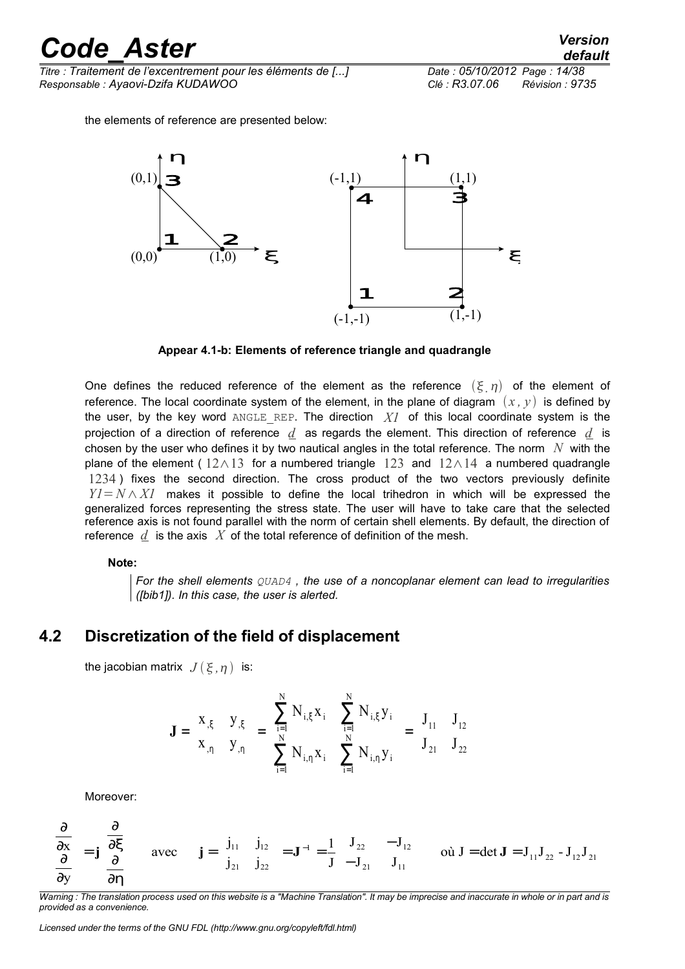*Titre : Traitement de l'excentrement pour les éléments de [...] Date : 05/10/2012 Page : 14/38 Responsable : Ayaovi-Dzifa KUDAWOO Clé : R3.07.06 Révision : 9735*

the elements of reference are presented below:



**Appear 4.1-b: Elements of reference triangle and quadrangle**

One defines the reduced reference of the element as the reference  $(\xi, \eta)$  of the element of reference. The local coordinate system of the element, in the plane of diagram  $(x, y)$  is defined by the user, by the key word ANGLE REP. The direction  $XI$  of this local coordinate system is the projection of a direction of reference *d* as regards the element. This direction of reference *d* is chosen by the user who defines it by two nautical angles in the total reference. The norm *N* with the plane of the element (  $12 \wedge 13$  for a numbered triangle 123 and  $12 \wedge 14$  a numbered quadrangle 1234 ) fixes the second direction. The cross product of the two vectors previously definite *Y1*=*N*∧*X1* makes it possible to define the local trihedron in which will be expressed the generalized forces representing the stress state. The user will have to take care that the selected reference axis is not found parallel with the norm of certain shell elements. By default, the direction of reference *d* is the axis *X* of the total reference of definition of the mesh.

#### **Note:**

*For the shell elements QUAD4 , the use of a noncoplanar element can lead to irregularities ([bib1]). In this case, the user is alerted.*

### **4.2 Discretization of the field of displacement**

the jacobian matrix  $J(\xi, \eta)$  is:

$$
\mathbf{J} = \begin{pmatrix} \mathbf{X}_{\xi} & \mathbf{y}_{\xi} \\ \mathbf{X}_{,\eta} & \mathbf{y}_{,\eta} \end{pmatrix} = \begin{pmatrix} \sum_{i=1}^{N} N_{i,\xi} \mathbf{x}_{i} & \sum_{i=1}^{N} N_{i,\xi} \mathbf{y}_{i} \\ \sum_{i=1}^{N} N_{i,\eta} \mathbf{x}_{i} & \sum_{i=1}^{N} N_{i,\eta} \mathbf{y}_{i} \end{pmatrix} = \begin{pmatrix} \mathbf{J}_{11} & \mathbf{J}_{12} \\ \mathbf{J}_{21} & \mathbf{J}_{22} \end{pmatrix}
$$

Moreover:

$$
\begin{pmatrix}\n\frac{\partial}{\partial x} \\
\frac{\partial}{\partial y}\n\end{pmatrix} = \mathbf{j} \begin{pmatrix}\n\frac{\partial}{\partial \xi} \\
\frac{\partial}{\partial \eta}\n\end{pmatrix} \text{ avec } \mathbf{j} = \begin{pmatrix}\n\mathbf{j}_{11} & \mathbf{j}_{12} \\
\mathbf{j}_{21} & \mathbf{j}_{22}\n\end{pmatrix} = \mathbf{J}^{-1} = \frac{1}{J} \begin{pmatrix}\n\mathbf{J}_{22} & -\mathbf{J}_{12} \\
-\mathbf{J}_{21} & \mathbf{J}_{11}\n\end{pmatrix} \text{ ou } \mathbf{J} = \det \mathbf{J} = \mathbf{J}_{11} \mathbf{J}_{22} - \mathbf{J}_{12} \mathbf{J}_{21}
$$

*Warning : The translation process used on this website is a "Machine Translation". It may be imprecise and inaccurate in whole or in part and is provided as a convenience.*

*Licensed under the terms of the GNU FDL (http://www.gnu.org/copyleft/fdl.html)*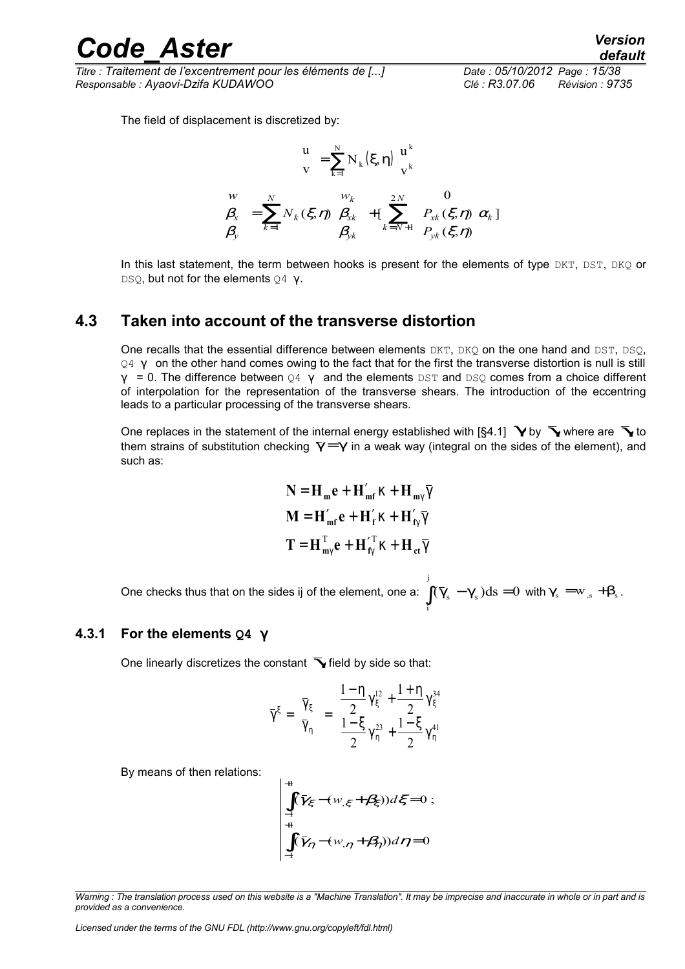*Titre : Traitement de l'excentrement pour les éléments de [...] Date : 05/10/2012 Page : 15/38 Responsable : Ayaovi-Dzifa KUDAWOO Clé : R3.07.06 Révision : 9735*

The field of displacement is discretized by:

$$
\begin{pmatrix} u \\ v \end{pmatrix} = \sum_{k=1}^{N} N_k \left(\xi, \eta \right) \begin{pmatrix} u^k \\ v^k \end{pmatrix}
$$

$$
\begin{pmatrix} w \\ \beta_x \\ \beta_y \end{pmatrix} = \sum_{k=1}^{N} N_k \left(\xi, \eta \right) \begin{pmatrix} w_k \\ \beta_{kk} \\ \beta_{yk} \end{pmatrix} + \left[\sum_{k=N+1}^{2N} \begin{pmatrix} 0 \\ P_{xk}(\xi, \eta) \\ P_{yk}(\xi, \eta) \end{pmatrix} \alpha_k \right]
$$

In this last statement, the term between hooks is present for the elements of type DKT, DST, DKO or DSQ, but not for the elements  $Q4 \gamma$ .

#### **4.3 Taken into account of the transverse distortion**

One recalls that the essential difference between elements DKT, DKQ on the one hand and DST, DSQ,  $Q_4$   $\gamma$  on the other hand comes owing to the fact that for the first the transverse distortion is null is still  $\gamma$  = 0. The difference between  $Q4$   $\gamma$  and the elements DST and DSQ comes from a choice different of interpolation for the representation of the transverse shears. The introduction of the eccentring leads to a particular processing of the transverse shears.

One replaces in the statement of the internal energy established with [§4.1]  $\gamma$  by  $\bar{\gamma}$  where are  $\bar{\gamma}$  to them strains of substitution checking  $\overline{\gamma} = \gamma$  in a weak way (integral on the sides of the element), and such as:

$$
N = H_m e + H'_{mf} \kappa + H_{m\gamma} \overline{\gamma}
$$
  

$$
M = H'_{mf} e + H'_{f} \kappa + H'_{f\gamma} \overline{\gamma}
$$
  

$$
T = H^{T}_{m\gamma} e + H'_{f\gamma} \kappa + H_{ct} \overline{\gamma}
$$

One checks thus that on the sides ij of the element, one a:  $\int (\overline{\gamma}_{\rm s} - \gamma_{\rm s}) {\rm d} {\rm s} =$ j i  $(\overline{\gamma}_{s} - \gamma_{s})$ ds = 0 with  $\gamma_{s} = w_{,s} + \beta_{s}$ .

#### **4.3.1 For the elements Q4** γ

One linearly discretizes the constant  $\bar{\gamma}$  field by side so that:

$$
\overline{\gamma}^{\xi} = \left(\frac{\overline{\gamma}_{\xi}}{\overline{\gamma}_{\eta}}\right) = \left(\frac{\frac{1-\eta}{2}}{\frac{1-\xi}{2}\gamma_{\eta}^{23}} + \frac{1+\eta}{2}\gamma_{\xi}^{34}\right) = \frac{1-\xi}{2}\gamma_{\eta}^{41}
$$

By means of then relations:

$$
\int_{-1}^{+1} (\bar{\gamma}_{\xi} - (w_{,\xi} + \beta_{\xi})) d\xi = 0 ;
$$
  

$$
\int_{-1}^{+1} (\bar{\gamma}_{\eta} - (w_{,\eta} + \beta_{\eta})) d\eta = 0
$$

*Licensed under the terms of the GNU FDL (http://www.gnu.org/copyleft/fdl.html)*

*Warning : The translation process used on this website is a "Machine Translation". It may be imprecise and inaccurate in whole or in part and is provided as a convenience.*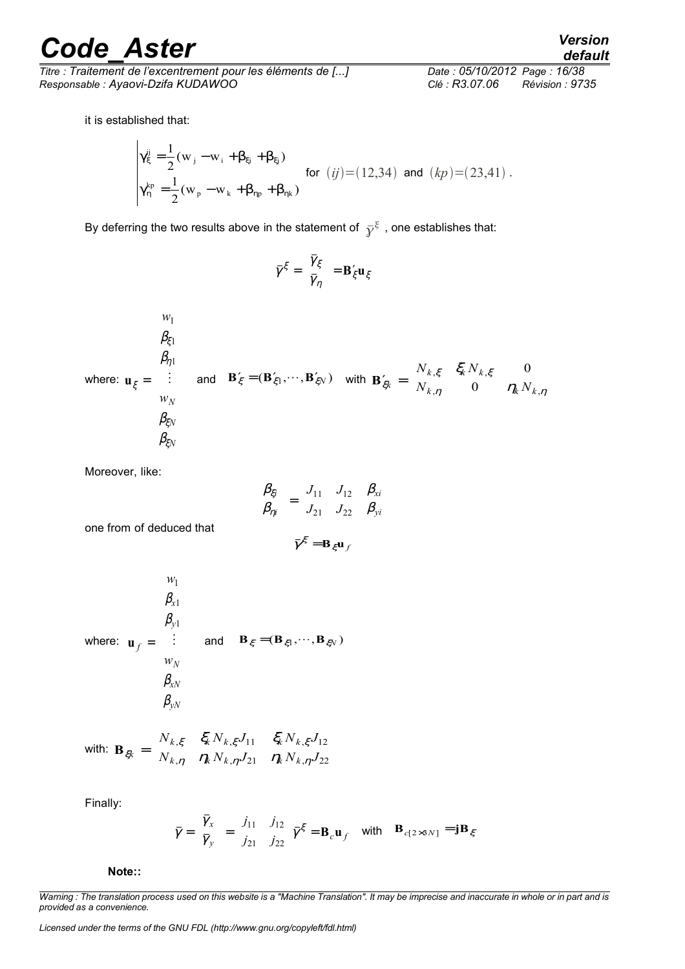*Titre : Traitement de l'excentrement pour les éléments de [...] Date : 05/10/2012 Page : 16/38 Responsable : Ayaovi-Dzifa KUDAWOO Clé : R3.07.06 Révision : 9735*

*default*

it is established that:

$$
\begin{cases}\gamma_{\xi}^{ij}=\frac{1}{2}(w_j-w_i+\beta_{\xi i}+\beta_{\xi j}) & \text{for} \;\; (ij)=(12,34) \;\; \text{and} \;\; (kp)=(23,41)\; .\\ \gamma_{\eta}^{kp}=\frac{1}{2}(w_p-w_k+\beta_{\eta p}+\beta_{\eta k})\end{cases}
$$

By deferring the two results above in the statement of  $\,\overline{\mathrm{y}}^{\,\overline{\mathrm{c}}}$  , one establishes that:

$$
\bar{\gamma}^{\xi} = \begin{pmatrix} \bar{\gamma}_{\xi} \\ \bar{\gamma}_{\eta} \end{pmatrix} = \mathbf{B}_{\xi}^{\prime} \mathbf{u}_{\xi}
$$

where: 
$$
\mathbf{u}_{\xi} = \begin{pmatrix} w_1 \\ \beta_{\xi 1} \\ \vdots \\ w_N \\ w_N \\ \beta_{\xi N} \\ \beta_{\xi N} \end{pmatrix}
$$
 and  $\mathbf{B}'_{\xi} = (\mathbf{B}'_{\xi 1}, \cdots, \mathbf{B}'_{\xi N})$  with  $\mathbf{B}'_{\xi k} = \begin{pmatrix} N_{k,\xi} & \xi_k N_{k,\xi} & 0 \\ N_{k,\eta} & 0 & \eta_k N_{k,\eta} \end{pmatrix}$ 

Moreover, like:

$$
\begin{pmatrix}\n\beta_{\xi i} \\
\beta_{\eta i}\n\end{pmatrix} =\n\begin{pmatrix}\nJ_{11} & J_{12} \\
J_{21} & J_{22}\n\end{pmatrix}\n\begin{pmatrix}\n\beta_{x i} \\
\beta_{y i}\n\end{pmatrix}
$$

one from of deduced that

 $\overline{a}$ 

$$
\bar{\gamma}^{\xi} = \mathbf{B}_{\xi} \mathbf{u}_f
$$

where: 
$$
\mathbf{u}_f = \begin{pmatrix} w_1 \\ \beta_{x1} \\ \beta_{y1} \\ \vdots \\ w_N \\ \beta_{xN} \\ \beta_{yN} \end{pmatrix}
$$
 and  $\mathbf{B}_{\xi} = (\mathbf{B}_{\xi 1}, \cdots, \mathbf{B}_{\xi N})$ 

with: 
$$
\mathbf{B}_{\xi k} = \begin{pmatrix} N_{k,\xi} & \xi_k N_{k,\xi} J_{11} & \xi_k N_{k,\xi} J_{12} \\ N_{k,\eta} & \eta_k N_{k,\eta} J_{21} & \eta_k N_{k,\eta} J_{22} \end{pmatrix}
$$

Finally:

$$
\overline{\gamma} = \begin{pmatrix} \overline{\gamma}_x \\ \overline{\gamma}_y \end{pmatrix} = \begin{pmatrix} j_{11} & j_{12} \\ j_{21} & j_{22} \end{pmatrix} \overline{\gamma}^{\xi} = \mathbf{B}_c \mathbf{u}_f \text{ with } \mathbf{B}_{c[2 \times 3N]} = \mathbf{j} \mathbf{B}_{\xi}
$$

**Note::**

*Warning : The translation process used on this website is a "Machine Translation". It may be imprecise and inaccurate in whole or in part and is provided as a convenience.*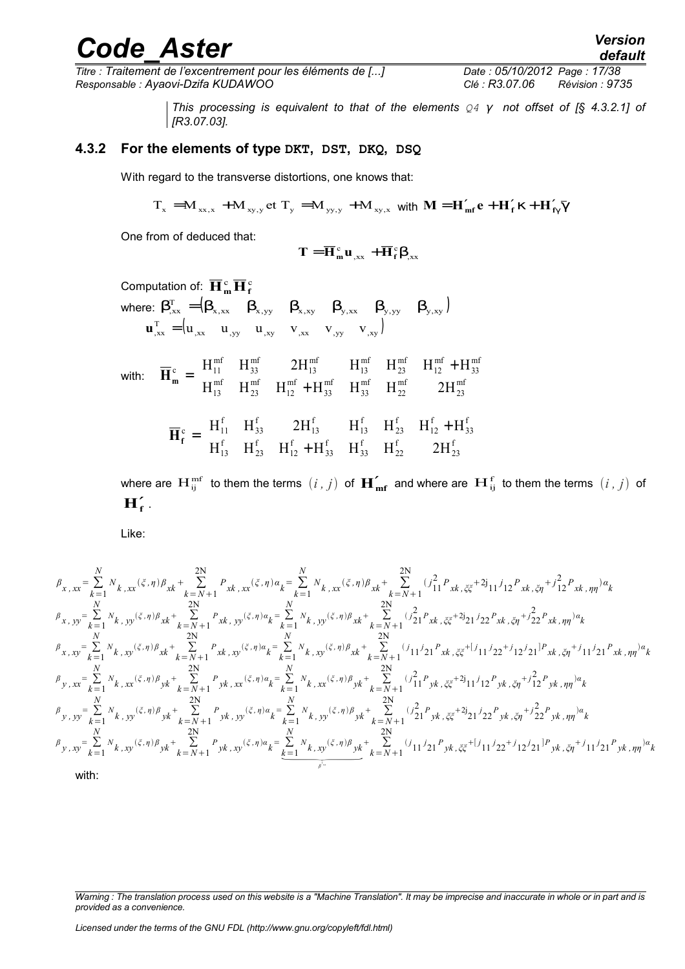*Titre : Traitement de l'excentrement pour les éléments de [...] Date : 05/10/2012 Page : 17/38 Responsable : Ayaovi-Dzifa KUDAWOO Clé : R3.07.06 Révision : 9735*

*default*

*This processing is equivalent to that of the elements Q4* <sup>γ</sup> *not offset of [§ 4.3.2.1] of [R3.07.03].*

#### **4.3.2 For the elements of type DKT, DST, DKQ, DSQ**

With regard to the transverse distortions, one knows that:

$$
T_x = M_{xx,x} + M_{xy,y} \text{ et } T_y = M_{yy,y} + M_{xy,x} \text{ with } \mathbf{M} = \mathbf{H}'_{\text{mf}} \mathbf{e} + \mathbf{H}'_f \kappa + \mathbf{H}'_f \overline{\gamma}
$$

One from of deduced that:

$$
T = \overline{H}_{m}^{c} u_{,xx} + \overline{H}_{f}^{c} \beta_{,xx}
$$

Computation of:  $\overline{\mathbf{H}}_m^c \overline{\mathbf{H}}_f^c$ where:  $\beta_{xx}^{\text{T}} = (\beta_{x,xx} \quad \beta_{x,yy} \quad \beta_{x,xy} \quad \beta_{y,xx} \quad \beta_{y,yy} \quad \beta_{y,xy})$  ${\bf u}_{,xx}^T = (u_{,xx} - u_{,yy} - u_{,xy} - v_{,xx} - v_{,yy} - v_{,xy})$ 

with: 
$$
\overline{\mathbf{H}}_{m}^{c} = \begin{pmatrix} H_{11}^{mf} & H_{33}^{mf} & 2H_{13}^{mf} & H_{13}^{mf} & H_{23}^{mf} & H_{12}^{mf} + H_{33}^{mf} \\ H_{13}^{mf} & H_{23}^{mf} & H_{12}^{mf} + H_{33}^{mf} & H_{33}^{mf} & H_{22}^{mf} & 2H_{23}^{mf} \end{pmatrix}
$$
  

$$
\overline{\mathbf{H}}_{f}^{c} = \begin{pmatrix} H_{11}^{f} & H_{33}^{f} & 2H_{13}^{f} & H_{13}^{f} & H_{23}^{f} & H_{12}^{f} + H_{33}^{f} \\ H_{13}^{f} & H_{23}^{f} & H_{12}^{f} + H_{33}^{f} & H_{33}^{f} & H_{22}^{f} & 2H_{23}^{f} \end{pmatrix}
$$

where are  $\mathbf{H}_{ij}^{\text{mf}}$  to them the terms  $(i,j)$  of  $\mathbf{H'_{mf}}$  and where are  $\mathbf{H}_{ij}^{\text{f}}$  to them the terms  $(i,j)$  of  $H_f'$ .

Like:

$$
\begin{split}\n\beta_{x,xx} &= \sum_{k=1}^{N} N_{k,xx}(\xi,\eta) \beta_{xk} + \sum_{k=N+1}^{2N} P_{xk,xx}(\xi,\eta) a_{k} = \sum_{k=1}^{N} N_{k,xx}(\xi,\eta) \beta_{xk} + \sum_{k=N+1}^{2N} (j_{11}^{2} P_{xk,\xi\xi} + 2j_{11}j_{12} P_{xk, \xi\eta} + j_{12}^{2} P_{xk, \eta\eta}) a_{k} \\
\beta_{x,yy} &= \sum_{k=1}^{N} N_{k,yy}(\xi,\eta) \beta_{xk} + \sum_{k=N+1}^{2N} P_{xk,yy}(\xi,\eta) a_{k} = \sum_{k=1}^{N} N_{k,yy}(\xi,\eta) \beta_{xk} + \sum_{k=N+1}^{2N} (j_{21}^{2} P_{xk, \xi\xi} + 2j_{21}j_{22} P_{xk, \xi\eta} + j_{22}^{2} P_{xk, \eta\eta}) a_{k} \\
\beta_{x,xy} &= \sum_{k=1}^{N} N_{k,xy}(\xi,\eta) \beta_{xk} + \sum_{k=N+1}^{2N} P_{xk,xy}(\xi,\eta) a_{k} = \sum_{k=1}^{N} N_{k,xy}(\xi,\eta) \beta_{xk} + \sum_{k=N+1}^{2N} (j_{11}j_{21} P_{xk, \xi\xi} + j_{11}j_{22} + j_{12}j_{21} P_{xk, \xi\eta} + j_{11}j_{21} P_{xk, \eta\eta}) a_{k} \\
\beta_{y,xx} &= \sum_{k=1}^{N} N_{k,xx}(\xi,\eta) \beta_{yk} + \sum_{k=N+1}^{2N} P_{yk,xx}(\xi,\eta) a_{k} = \sum_{k=1}^{N} N_{k,xx}(\xi,\eta) \beta_{yk} + \sum_{k=N+1}^{2N} (j_{11}^{2} P_{yk, \xi\xi} + 2j_{11}j_{12} P_{yk, \xi\eta} + j_{12}^{2} P_{yk, \eta\eta}) a_{k} \\
\beta_{y,yy} &= \sum_{k=1}^{N} N_{k,yy}(\xi,\eta) \beta_{yk} + \sum_{k=N+
$$

with:

*Warning : The translation process used on this website is a "Machine Translation". It may be imprecise and inaccurate in whole or in part and is provided as a convenience.*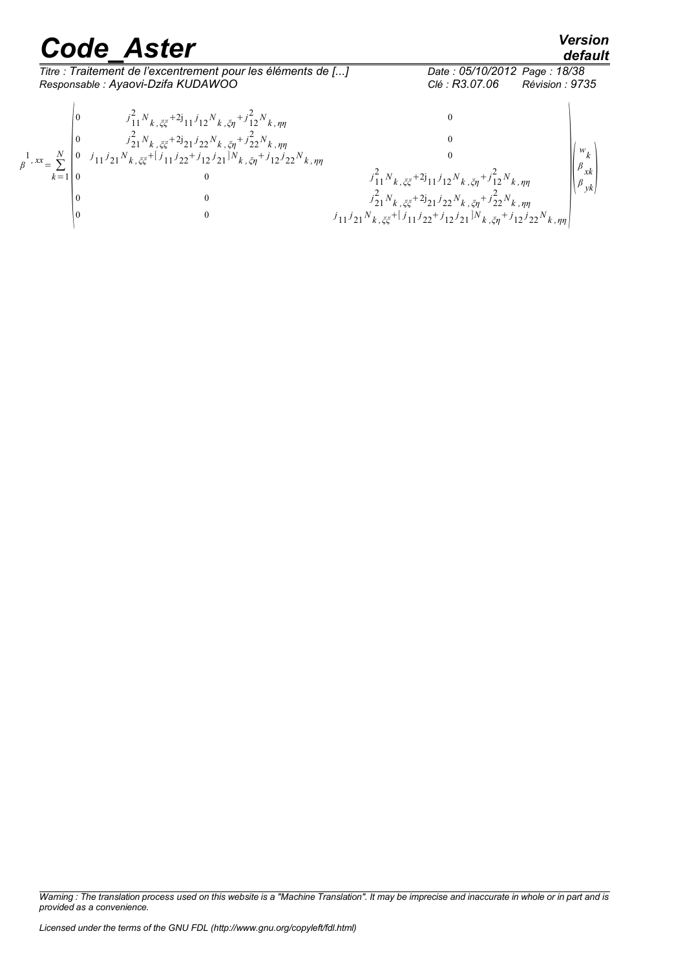|                                                                                                    | <b>Code Aster</b>                                                                                                                                                                                                                                                                                                                                                                                                      |                                                                                                                                             | Version<br>default                              |  |
|----------------------------------------------------------------------------------------------------|------------------------------------------------------------------------------------------------------------------------------------------------------------------------------------------------------------------------------------------------------------------------------------------------------------------------------------------------------------------------------------------------------------------------|---------------------------------------------------------------------------------------------------------------------------------------------|-------------------------------------------------|--|
| Titre : Traitement de l'excentrement pour les éléments de []<br>Responsable : Ayaovi-Dzifa KUDAWOO |                                                                                                                                                                                                                                                                                                                                                                                                                        | Clé : R3.07.06                                                                                                                              | Date: 05/10/2012 Page: 18/38<br>Révision : 9735 |  |
|                                                                                                    | $j_{11}^{2}N_{k,\xi\xi}+2j_{11}j_{12}N_{k,\xi\eta}+j_{12}^{2}N_{k,\eta\eta}$                                                                                                                                                                                                                                                                                                                                           |                                                                                                                                             |                                                 |  |
|                                                                                                    |                                                                                                                                                                                                                                                                                                                                                                                                                        |                                                                                                                                             |                                                 |  |
|                                                                                                    |                                                                                                                                                                                                                                                                                                                                                                                                                        |                                                                                                                                             |                                                 |  |
|                                                                                                    | $\label{eq:2.1} \begin{array}{c} \dots, \infty \quad \  \  \, \text{if} \quad 12-k, \xi \eta^{-1} \, 12^{-k}, \eta \eta \\ \eta^{-1} \, 12^{-k}, \xi \eta^{-1} \, 12^{-k}, \eta \eta \\ \eta^{-1} \, 12^{-k}, \xi \eta^{-1} \, 12^{-k}, \xi \eta^{-1} \, 12^{-k}, \eta \eta \\ \eta^{-1} \, 12^{-k}, \xi \xi^{-1} \, 12^{-k}, \xi \eta^{-1} \, 12^{-k}, \xi \eta^{-1} \, 12^{-k}, \xi \eta^{-1} \, 12^{-k}, \eta \eta$ | $j_{11}^{2}N_{k,\xi\xi}+2j_{11}j_{12}N_{k,\xi\eta}+j_{12}^{2}N_{k,\eta\eta}$                                                                | $\beta_{x\overline{k}}$                         |  |
|                                                                                                    |                                                                                                                                                                                                                                                                                                                                                                                                                        | $j_{21}^2 N_{k,\xi\xi}$ +2j <sub>21</sub> j <sub>22</sub> N <sub>k, <math>\xi\eta</math></sub> +j <sub>22</sub> N <sub>k</sub> , $\eta\eta$ |                                                 |  |
|                                                                                                    |                                                                                                                                                                                                                                                                                                                                                                                                                        | $j_{11}j_{21}N_{k,\xi\xi}+[j_{11}j_{22}+j_{12}j_{21}]N_{k,\xi\eta}+j_{12}j_{22}N_{k,\eta\eta}$                                              |                                                 |  |

*Warning : The translation process used on this website is a "Machine Translation". It may be imprecise and inaccurate in whole or in part and is provided as a convenience.*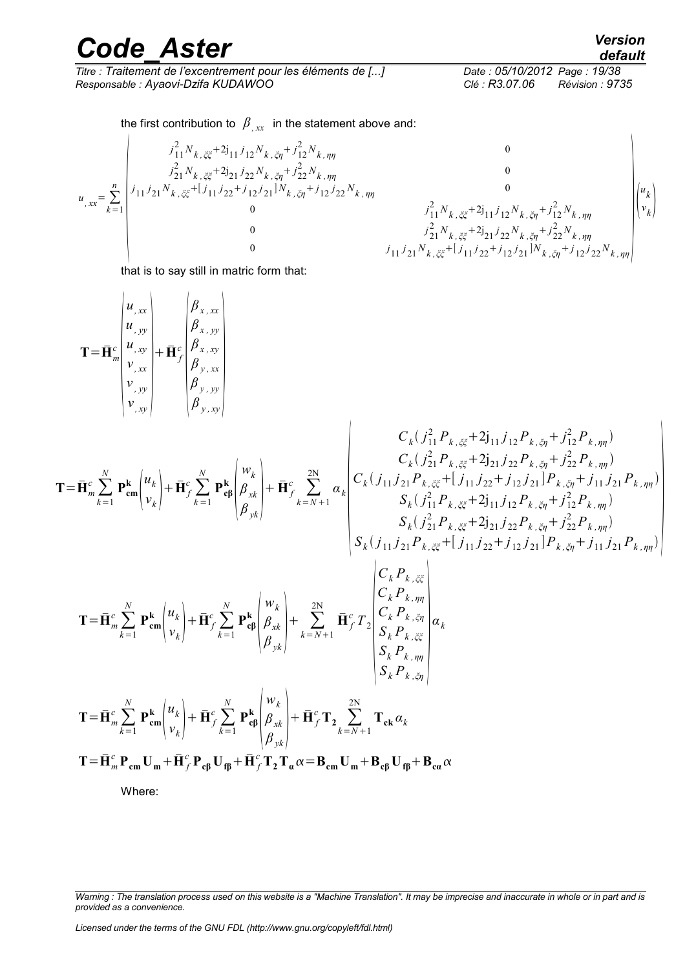*Code\_Aster Version Titre : Traitement de l'excentrement pour les éléments de [...] Date : 05/10/2012 Page : 19/38 Responsable : Ayaovi-Dzifa KUDAWOO Clé : R3.07.06 Révision : 9735*

*default*

 $\overline{1}$ 

the first contribution to  $\beta_{,xx}$  in the statement above and:

$$
u_{,xx} = \sum_{k=1}^{n} \begin{vmatrix} j_{11}^{2} N_{k,\xi\xi} + 2j_{11}j_{12}N_{k,\xi\eta} + j_{12}^{2} N_{k,\eta\eta} & 0\\ j_{21}^{2} N_{k,\xi\xi} + 2j_{21}j_{22}N_{k,\xi\eta} + j_{22}^{2} N_{k,\eta\eta} & 0\\ 0 & 0\\ 0 & 0 & j_{11}^{2} N_{k,\xi\xi} + 2j_{11}j_{12}N_{k,\xi\eta} + j_{12}^{2}N_{k,\eta\eta}\\ 0 & 0 & j_{11}^{2} N_{k,\xi\xi} + 2j_{11}j_{12}N_{k,\xi\eta} + j_{22}^{2} N_{k,\eta\eta}\\ 0 & 0 & j_{11}^{2} N_{k,\xi\xi} + 2j_{11}j_{22}N_{k,\xi\eta} + j_{22}^{2} N_{k,\eta\eta}\\ 0 & 0 & j_{11}^{2} N_{k,\xi\xi} + j_{12}j_{21}N_{k,\xi\eta} + j_{12}^{2} N_{k,\eta\eta}\\ 0 & 0 & j_{11}^{2} N_{k,\xi\xi} + j_{12}j_{21}N_{k,\xi\eta} + j_{12}j_{22}N_{k,\eta\eta}\end{vmatrix}
$$

that is to say still in matric form that:

$$
T = \overline{H}_{m}^{c} \sum_{k=1}^{N} P_{mn}^{k} \begin{pmatrix} u_{1, xy} \\ u_{2, xy} \\ v_{3, xy} \\ v_{4, xy} \end{pmatrix} + \overline{H}_{y}^{c} \sum_{k=1}^{N} P_{mn}^{k} \begin{pmatrix} w_{k} \\ \beta_{y, xy} \\ \beta_{y, xy} \end{pmatrix}
$$
\n
$$
T = \overline{H}_{m}^{c} \sum_{k=1}^{N} P_{mn}^{k} \begin{pmatrix} u_{k} \\ u_{k} \end{pmatrix} + \overline{H}_{y}^{c} \sum_{k=1}^{N} P_{mn}^{k} \begin{pmatrix} w_{k} \\ \beta_{k} \\ \beta_{y,k} \end{pmatrix} + \overline{H}_{y}^{c} \sum_{k=1}^{2N} P_{mn}^{k} \begin{pmatrix} \sum_{k=1}^{2N} a_{k} \\ \sum_{k=1}^{2N} a_{k} \end{pmatrix} + \overline{H}_{y}^{c} \sum_{k=N+1}^{2N} a_{k} \begin{pmatrix} C_{k} (j_{11}^{2} P_{k, zz} + 2j_{11} j_{12} P_{k, zz} + j_{12}^{2} P_{k, xy} ) \\ C_{k} (j_{11}^{2} P_{k, zz} + 2j_{11} j_{22} P_{k, zz} + j_{12}^{2} j_{22} P_{k, zxy} ) \\ S_{k} (j_{11}^{2} P_{k, zz} + 2j_{11} j_{12} P_{k, zz} + j_{12}^{2} j_{22} P_{k, xy} ) \\ S_{k} (j_{11}^{2} P_{k, zz} + 2j_{21} j_{22} P_{k, zz} + j_{12}^{2} j_{21} P_{k, zxy} + j_{12}^{2} P_{k, xy} ) \end{pmatrix}
$$
\n
$$
T = \overline{H}_{m}^{c} \sum_{k=1}^{N} P_{mn}^{k} \begin{pmatrix} u_{k} \\ v_{k} \end{pmatrix} + \overline{H}_{y}^{c} \sum_{k=1}^{N} P_{mn}^{k} \begin{pmatrix} w_{k} \\ \beta_{k} \end{pmatrix} + \overline{H}_{y}^{c} \sum_{k=1}^{N} P_{mn}^{k
$$

*Warning : The translation process used on this website is a "Machine Translation". It may be imprecise and inaccurate in whole or in part and is provided as a convenience.*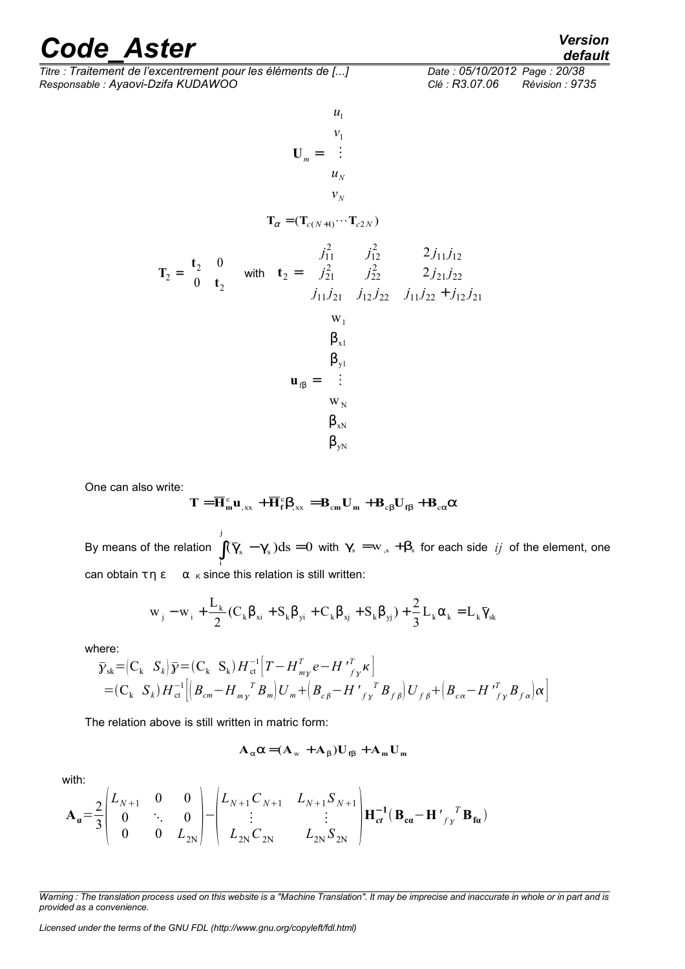*Titre : Traitement de l'excentrement pour les éléments de [...] Date : 05/10/2012 Page : 20/38 Responsable : Ayaovi-Dzifa KUDAWOO Clé : R3.07.06 Révision : 9735*

$$
\mathbf{U}_{m} = \begin{pmatrix} u_{1} \\ v_{1} \\ \vdots \\ u_{N} \\ v_{N} \end{pmatrix}
$$

$$
\mathbf{T}_{\alpha} = (\mathbf{T}_{c(N+1)} \cdots \mathbf{T}_{c2N})
$$

$$
\mathbf{T}_{2} = \begin{pmatrix} \mathbf{t}_{2} & 0 \\ 0 & \mathbf{t}_{2} \end{pmatrix} \text{ with } \mathbf{t}_{2} = \begin{pmatrix} j_{11}^{2} & j_{12}^{2} & 2j_{11}j_{12} \\ j_{21}^{2} & j_{22}^{2} & 2j_{21}j_{22} \\ j_{11}j_{21} & j_{12}j_{22} & j_{11}j_{22} + j_{12}j_{21} \end{pmatrix}
$$

$$
\mathbf{u}_{\text{fB}} = \begin{pmatrix} \mathbf{w}_{1} \\ \mathbf{\beta}_{\text{x1}} \\ \beta_{\text{y1}} \\ \vdots \\ \mathbf{\beta}_{\text{xN}} \\ \beta_{\text{yN}} \end{pmatrix}
$$

One can also write:

$$
T=\overline{H}^{\text{c}}_{m}u_{,\text{xx}}+\overline{H}^{\text{c}}_{f}\beta_{,\text{xx}}=B_{\text{cm}}U_{m}+B_{\text{c}\beta}U_{f\beta}+B_{\text{c}\alpha}\alpha
$$

By means of the relation  $\int (\overline{\gamma}_{\rm s} - \gamma_{\rm s}) d{\rm s} =$ j i  $(\bar{\gamma}_s - \gamma_s)$ ds = 0 with  $\gamma_s = w_{s} + \beta_s$  for each side *ij* of the element, one can obtain  $\tau \eta \varepsilon \alpha_{K}$  since this relation is still written:

$$
w_j - w_i + \frac{L_k}{2} (C_k \beta_{xi} + S_k \beta_{yi} + C_k \beta_{xj} + S_k \beta_{yj}) + \frac{2}{3} L_k \alpha_k = L_k \overline{\gamma}_{sk}
$$

where:

$$
\bar{\mathbf{y}}_{sk} = (C_k \ S_k) \bar{\mathbf{y}} = (C_k \ S_k) H_{ct}^{-1} \Big[ T - H_{my}^T e - H_{ry}^T \kappa \Big] \n= (C_k \ S_k) H_{ct}^{-1} \Big[ (B_{cm} - H_{my}^T B_m) U_m + (B_{c\beta} - H_{ry}^T B_{fg}) U_{fg} + (B_{c\alpha} - H_{ry}^T B_{fg}) \alpha \Big]
$$

The relation above is still written in matric form:

$$
\mathbf{A}_{\alpha} \alpha = (\mathbf{A}_{\mathrm{w}} + \mathbf{A}_{\beta}) \mathbf{U}_{\mathrm{f} \beta} + \mathbf{A}_{\mathrm{m}} \mathbf{U}_{\mathrm{m}}
$$

with:

$$
\mathbf{A}_{a} = \frac{2}{3} \begin{vmatrix} L_{N+1} & 0 & 0 \\ 0 & \ddots & 0 \\ 0 & 0 & L_{2N} \end{vmatrix} - \begin{vmatrix} L_{N+1} C_{N+1} & L_{N+1} S_{N+1} \\ \vdots & \vdots \\ L_{2N} C_{2N} & L_{2N} S_{2N} \end{vmatrix} \mathbf{H}_{ct}^{-1} (\mathbf{B}_{ca} - \mathbf{H'}_{fy}^T \mathbf{B}_{fa})
$$

*Licensed under the terms of the GNU FDL (http://www.gnu.org/copyleft/fdl.html)*

*Warning : The translation process used on this website is a "Machine Translation". It may be imprecise and inaccurate in whole or in part and is provided as a convenience.*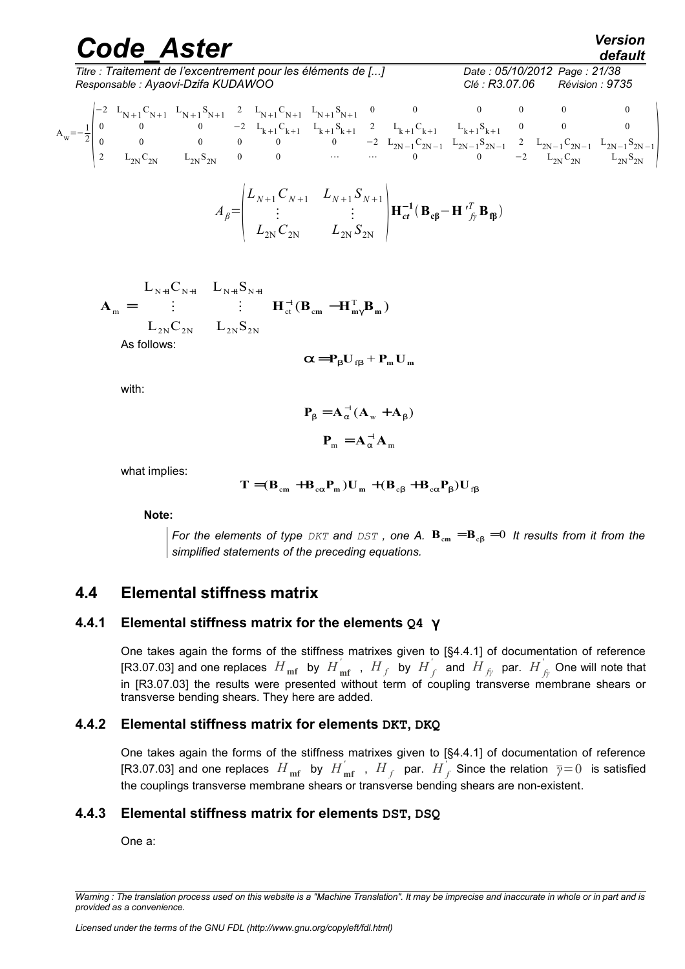*Titre : Traitement de l'excentrement pour les éléments de [...] Date : 05/10/2012 Page : 21/38 Responsable : Ayaovi-Dzifa KUDAWOO Clé : R3.07.06 Révision : 9735*

$$
A_w = -\frac{1}{2} \begin{pmatrix} -2 & L_{N+1}C_{N+1} & L_{N+1}S_{N+1} & 2 & L_{N+1}C_{N+1} & L_{N+1}S_{N+1} & 0 & 0 & 0 & 0 & 0 & 0 \\ 0 & 0 & 0 & -2 & L_{k+1}C_{k+1} & L_{k+1}S_{k+1} & 2 & L_{k+1}C_{k+1} & L_{k+1}S_{k+1} & 0 & 0 & 0 & 0 \\ 0 & 0 & 0 & 0 & 0 & -2 & L_{2N-1}C_{2N-1} & L_{2N-1}S_{2N-1} & 2 & L_{2N-1}C_{2N-1} & L_{2N-1}S_{2N-1} \\ 2 & L_{2N}C_{2N} & L_{2N}S_{2N} & 0 & 0 & \cdots & \cdots & 0 & 0 & -2 & L_{2N}C_{2N} & L_{2N}S_{2N} \end{pmatrix}
$$

$$
A_{\beta} = \begin{pmatrix} L_{N+1} C_{N+1} & L_{N+1} S_{N+1} \\ \vdots & \vdots \\ L_{2N} C_{2N} & L_{2N} S_{2N} \end{pmatrix} \mathbf{H}_{ct}^{-1}(\mathbf{B}_{c\beta} - \mathbf{H'}_{f\gamma}^{T} \mathbf{B}_{f\beta})
$$

$$
\mathbf{A}_{m} = \begin{pmatrix} L_{N+1} C_{N+1} & L_{N+1} S_{N+1} \\ \vdots & \vdots \\ L_{2N} C_{2N} & L_{2N} S_{2N} \end{pmatrix} \mathbf{H}_{ct}^{-1} (\mathbf{B}_{cm} - \mathbf{H}_{m\gamma}^{T} \mathbf{B}_{m})
$$
  
As follows:

$$
\alpha = P_{\beta} U_{\text{f}\beta} + P_{\text{m}} U_{\text{m}}
$$

with:

$$
\mathbf{P}_{\beta} = \mathbf{A}_{\alpha}^{-1} (\mathbf{A}_{w} + \mathbf{A}_{\beta})
$$

$$
\mathbf{P}_{m} = \mathbf{A}_{\alpha}^{-1} \mathbf{A}_{m}
$$

what implies:

$$
T = (B_{\rm cm} + B_{\rm cc}P_{\rm m})U_{\rm m} + (B_{\rm c\beta} + B_{\rm cc}P_{\beta})U_{\rm f\beta}
$$

**Note:**

*For the elements of type <code>DKT</code> and <code>DST</code> , one A.*  ${\bf B}_{\rm cm} = {\bf B}_{\rm c \beta} = 0$  *It results from it from the simplified statements of the preceding equations.*

### **4.4 Elemental stiffness matrix**

#### **4.4.1 Elemental stiffness matrix for the elements Q4** γ

One takes again the forms of the stiffness matrixes given to [§4.4.1] of documentation of reference [R3.07.03] and one replaces  $H_{\text{mf}}$  by  $H_{\text{mf}}^{'}$  ,  $H_{f}$  by  $H_{f}^{'}$  and  $H_{f\!/\!f}$  par.  $H_{f\!/\!f}^{'}$  One will note that in [R3.07.03] the results were presented without term of coupling transverse membrane shears or transverse bending shears. They here are added.

#### **4.4.2 Elemental stiffness matrix for elements DKT, DKQ**

One takes again the forms of the stiffness matrixes given to [§4.4.1] of documentation of reference [R3.07.03] and one replaces  $H_{\_\mathsf{mf}}$  by  $H_{\_\mathsf{mf}}^{'}$  ,  $H_{f}$  par.  $H_{f}^{'}$  Since the relation  $\bar{\gamma}=0$  is satisfied the couplings transverse membrane shears or transverse bending shears are non-existent.

#### **4.4.3 Elemental stiffness matrix for elements DST, DSQ**

One a:

*Warning : The translation process used on this website is a "Machine Translation". It may be imprecise and inaccurate in whole or in part and is provided as a convenience.*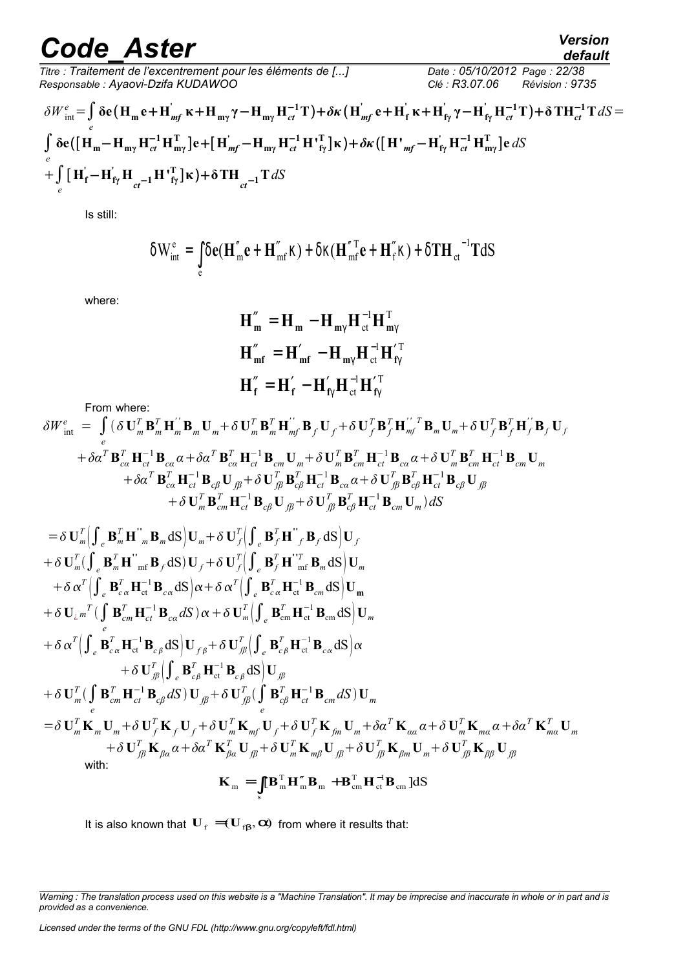*Titre : Traitement de l'excentrement pour les éléments de [...] Date : 05/10/2012 Page : 22/38 Responsable : Ayaovi-Dzifa KUDAWOO Clé : R3.07.06 Révision : 9735*

$$
\underbrace{\text{default}}_{\text{22,22}}
$$

$$
\delta W_{int}^{e} = \int_{e} \delta \mathbf{e} (\mathbf{H}_{m} \mathbf{e} + \mathbf{H}_{mf}^{'} \mathbf{\kappa} + \mathbf{H}_{my} \gamma - \mathbf{H}_{my} \mathbf{H}_{ct}^{-1} \mathbf{T}) + \delta \mathbf{\kappa} (\mathbf{H}_{mf}^{'} \mathbf{e} + \mathbf{H}_{f}^{'} \mathbf{\kappa} + \mathbf{H}_{f}^{'} \gamma - \mathbf{H}_{f}^{'} \mathbf{H}_{ct}^{-1} \mathbf{T}) + \delta \mathbf{T} \mathbf{H}_{ct}^{-1} \mathbf{T} dS =
$$
\n
$$
\int_{e} \delta \mathbf{e} ([\mathbf{H}_{m} - \mathbf{H}_{my} \mathbf{H}_{ct}^{-1} \mathbf{H}_{my}^{T}] \mathbf{e} + [\mathbf{H}_{mf}^{'} - \mathbf{H}_{my} \mathbf{H}_{ct}^{-1} \mathbf{H}_{f}^{T}] \mathbf{\kappa}) + \delta \mathbf{\kappa} ([\mathbf{H}_{mf}^{'} - \mathbf{H}_{f}^{'} \mathbf{H}_{ct}^{-1} \mathbf{H}_{my}^{T}] \mathbf{e} dS
$$
\n
$$
+ \int_{e} [\mathbf{H}_{f}^{'} - \mathbf{H}_{f}^{'} \mathbf{H}_{ct}^{-1} \mathbf{H}_{f}^{T}] \mathbf{\kappa}) + \delta \mathbf{T} \mathbf{H}_{ct}^{-1} \mathbf{T} dS
$$

Is still:

$$
\delta W_{int}^{e} = \int_{e} \delta \mathbf{e} (\mathbf{H}_{m}'' \mathbf{e} + \mathbf{H}_{mf}'' \kappa) + \delta \kappa (\mathbf{H}_{mf}''^{T} \mathbf{e} + \mathbf{H}_{f}'' \kappa) + \delta \mathbf{T} \mathbf{H}_{ct}^{-1} \mathbf{T} dS
$$

where:

$$
\mathbf{H}''_{m} = \mathbf{H}_{m} - \mathbf{H}_{m\gamma} \mathbf{H}_{ct}^{-1} \mathbf{H}_{m\gamma}^{T}
$$

$$
\mathbf{H}''_{mf} = \mathbf{H}'_{mf} - \mathbf{H}_{m\gamma} \mathbf{H}_{ct}^{-1} \mathbf{H}'_{f\gamma}^{T}
$$

$$
\mathbf{H}''_{f} = \mathbf{H}'_{f} - \mathbf{H}'_{f\gamma} \mathbf{H}_{ct}^{-1} \mathbf{H}'_{f\gamma}^{T}
$$

From where:

$$
\delta W_{int}^{e} = \int_{c} (\delta U_{m}^{T} \mathbf{B}_{m}^{T} \mathbf{H}_{m}^{'} \mathbf{B}_{m} U_{m} + \delta U_{m}^{T} \mathbf{B}_{m}^{T} \mathbf{H}_{m}^{'} \mathbf{B}_{f} U_{f} + \delta U_{f}^{T} \mathbf{B}_{f}^{T} \mathbf{H}_{m}^{'} {^{T}} \mathbf{B}_{m} U_{m} + \delta U_{f}^{T} \mathbf{B}_{f}^{T} \mathbf{H}_{m}^{'} \mathbf{B}_{f} U_{f} + \delta U_{f}^{T} \mathbf{B}_{m}^{T} \mathbf{H}_{m}^{'} \mathbf{B}_{m} U_{m} + \delta U_{f}^{T} \mathbf{B}_{m}^{T} \mathbf{H}_{m}^{'} \mathbf{B}_{m} U_{m} + \delta U_{f}^{T} \mathbf{B}_{cm}^{T} \mathbf{H}_{cm}^{-1} \mathbf{B}_{cm} U_{m} + \delta U_{f}^{T} \mathbf{B}_{cm}^{T} \mathbf{H}_{cm}^{-1} \mathbf{B}_{cm} U_{m} + \delta U_{f}^{T} \mathbf{B}_{cm}^{T} \mathbf{H}_{cm}^{-1} \mathbf{B}_{cm} U_{m} + \delta U_{f}^{T} \mathbf{B}_{cm}^{T} \mathbf{H}_{cm}^{-1} \mathbf{B}_{cm} U_{m} + \delta U_{f}^{T} \mathbf{B}_{cm}^{T} \mathbf{H}_{cm}^{-1} \mathbf{B}_{cm} \mathbf{B}_{cm} \mathbf{A} \delta U_{f}^{T} \mathbf{B}_{f}^{T} \mathbf{H}_{cm}^{-1} \mathbf{B}_{c} U_{g} U_{g} + \delta U_{f}^{T} \mathbf{B}_{f}^{T} \mathbf{H}_{cm}^{-1} \mathbf{B}_{c} U_{g} U_{g} + \delta U_{f}^{T} \mathbf{B}_{f}^{T} \mathbf{H}_{cm}^{-1} \mathbf{B}_{c} U_{g} U_{g} + \delta U_{f}^{T} \mathbf{B}_{f}^{T} \mathbf{H}_{cm}^{-1} \mathbf{B}_{cm} U_{m} U_{m} dS
$$
  
\n
$$
= \delta \mathbf{U}_{m}^{T} \Big( \int_{e} \mathbf{B}_{m}^{T} \mathbf{H}_{m}^{*} \mathbf{B
$$

It is also known that  $\mathbf{U}_{\rm f} = ( \mathbf{U}_{\rm fB}, \boldsymbol{\alpha} )$  from where it results that:

*Warning : The translation process used on this website is a "Machine Translation". It may be imprecise and inaccurate in whole or in part and is provided as a convenience.*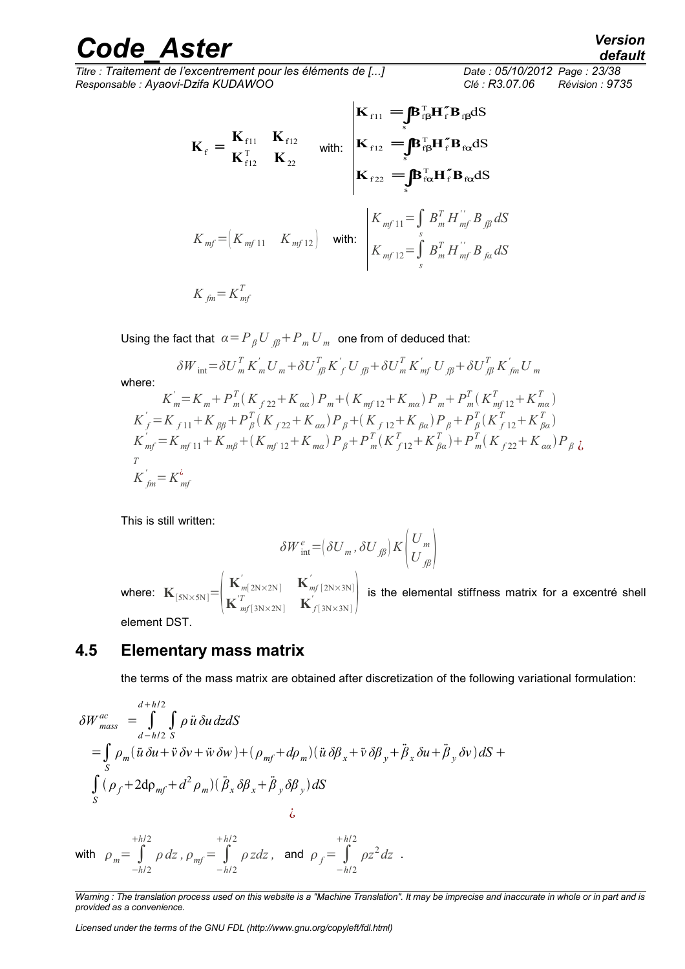*Titre : Traitement de l'excentrement pour les éléments de [...] Date : 05/10/2012 Page : 23/38 Responsable : Ayaovi-Dzifa KUDAWOO Clé : R3.07.06 Révision : 9735*

$$
\mathbf{K}_{\rm f} = \begin{pmatrix} \mathbf{K}_{\rm f11} & \mathbf{K}_{\rm f12} \\ \mathbf{K}_{\rm f12} & \mathbf{K}_{\rm 22} \end{pmatrix} \text{ with: } \begin{pmatrix} \mathbf{K}_{\rm f11} = \int_{\rm s} \mathbf{B}_{\rm f\beta}^{\rm T} \mathbf{H}_{\rm f}^{\prime} \mathbf{B}_{\rm fg} dS \\ \mathbf{K}_{\rm f12} = \int_{\rm s} \mathbf{B}_{\rm f\alpha}^{\rm T} \mathbf{H}_{\rm f}^{\prime} \mathbf{B}_{\rm f\alpha} dS \\ \mathbf{K}_{\rm f22} = \int_{\rm s} \mathbf{B}_{\rm f\alpha}^{\rm T} \mathbf{H}_{\rm f}^{\prime} \mathbf{B}_{\rm f\alpha} dS \\ \mathbf{K}_{\rm m}f = \begin{pmatrix} K_{m f11} & K_{m f12} \end{pmatrix} \text{ with: } \begin{pmatrix} K_{m f11} = \int_{\rm s} B_m^T H_{m f}^{\prime \prime} B_{\rm f\beta} dS \\ K_{m f12} = \int_{\rm s} B_m^T H_{m f}^{\prime \prime} B_{\rm f\beta} dS \\ K_{m f12} = \int_{\rm s} B_m^T H_{m f}^{\prime \prime} B_{\rm f\alpha} dS \end{pmatrix}
$$

Using the fact that  $\alpha \!=\! P_{\ \beta}U_{\ \beta\beta}\!+\! P_{\ m}^{\ \ U}_{\ m}$  one from of deduced that:

$$
\delta W_{int} = \delta U_m^T K_m' U_m + \delta U_{f\beta}^T K_f' U_{f\beta} + \delta U_m^T K_{mf}' U_{f\beta} + \delta U_{f\beta}^T K_{fm}' U_m
$$
  
\nwhere:  
\n
$$
K_m' = K_m + P_m^T (K_{f22} + K_{aa}) P_m + (K_{mf12} + K_{ma}) P_m + P_m^T (K_{mf12}^T + K_{ma}^T)
$$
\n
$$
K_f' = K_{f11} + K_{\beta\beta} + P_\beta^T (K_{f22} + K_{aa}) P_\beta + (K_{f12} + K_{\beta a}) P_\beta + P_\beta^T (K_{f12}^T + K_{\beta a}^T)
$$
\n
$$
K_{mf}' = K_{mf11} + K_{mf} + (K_{mf12} + K_{ma}) P_\beta + P_m^T (K_{f12}^T + K_{ba}^T) + P_m^T (K_{f22} + K_{aa}) P_\beta
$$
\n
$$
K_{fm}' = K_{mf}^i
$$

This is still written:

$$
\delta W_{\text{int}}^e = \left(\delta U_m, \delta U_{\text{f}\beta}\right) K \begin{pmatrix} U_m \\ U_{\text{f}\beta} \end{pmatrix}
$$

where:  $\mathbf{K}_{\left[5\mathrm{N}\times5\mathrm{N}\right]}=\begin{bmatrix} \mathbf{K}^{\mathbf{K}} & \mathbf{K}^{\mathbf{K}} & \mathbf{K}^{\mathbf{K}} \end{bmatrix}$  $\mathbf{K}_{m[2\mathrm{N}\times2\mathrm{N}]}^{'}$   $\mathbf{K}_{mf\,[2\mathrm{N}\times3\mathrm{N}]}^{'}$  $\mathbf{K}_{mf[3N\times2N]}^{m[2N\times2N]}$   $\mathbf{K}_{f[3N\times3N]}^{'}$  is the elemental stiffness matrix for a excentré shell element DST.

### **4.5 Elementary mass matrix**

the terms of the mass matrix are obtained after discretization of the following variational formulation:

*δv dS*

$$
\delta W_{mass}^{ac} = \int_{d-h/2}^{d+h/2} \int_{S} \rho \ddot{u} \, \delta u \, dz dS
$$
  
=  $\int_{S} \rho_m (\ddot{u} \, \delta u + \ddot{v} \, \delta v + \ddot{w} \, \delta w) + (\rho_{mf} + d\rho_m) (\ddot{u} \, \delta \beta_x + \ddot{v} \, \delta \beta_y + \ddot{\beta}_x \, \delta u + \ddot{\beta}_y \, \delta v) dS$   
 $\int_{S} (\rho_f + 2d\rho_{mf} + d^2 \rho_m) (\ddot{\beta}_x \, \delta \beta_x + \ddot{\beta}_y \, \delta \beta_y) dS$   
 $\dot{\delta}$ 

with  $\rho_m = \int$ −*h*/2 *h*/2  $\rho$  *dz* ,  $\rho_{\rm mf} = \int$ −*h*/2 *h*/2  $\rho$  *zdz* , and  $\rho$ <sub>f</sub> =  $\int$ −*h*/2 *h*/2  $\rho z^2 dz$  .

*Licensed under the terms of the GNU FDL (http://www.gnu.org/copyleft/fdl.html)*

*default*

*Warning : The translation process used on this website is a "Machine Translation". It may be imprecise and inaccurate in whole or in part and is provided as a convenience.*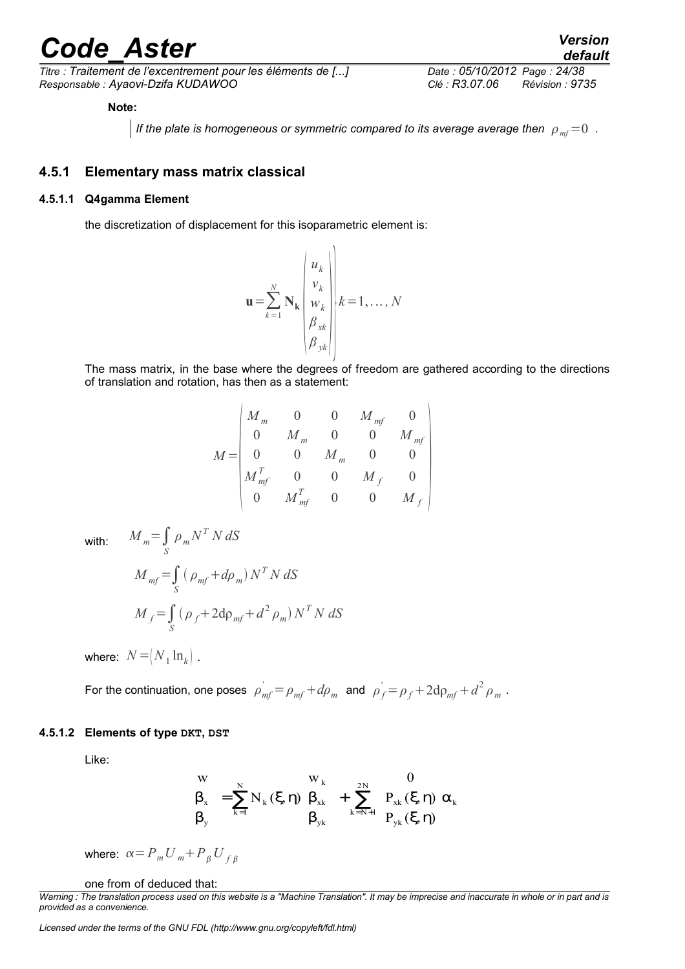*Titre : Traitement de l'excentrement pour les éléments de [...] Date : 05/10/2012 Page : 24/38 Responsable : Ayaovi-Dzifa KUDAWOO Clé : R3.07.06 Révision : 9735*

#### **Note:**

 $\vert$  If the plate is homogeneous or symmetric compared to its average average then  $\vert \rho_{\scriptscriptstyle m f} \!=\! 0 \,$  .

#### **4.5.1 Elementary mass matrix classical**

#### **4.5.1.1 Q4gamma Element**

the discretization of displacement for this isoparametric element is:

$$
\mathbf{u} = \sum_{k=1}^{N} \mathbf{N_k} \begin{pmatrix} u_k \\ v_k \\ w_k \\ \beta_{sk} \\ \beta_{yk} \end{pmatrix} k = 1, ..., N
$$

The mass matrix, in the base where the degrees of freedom are gathered according to the directions of translation and rotation, has then as a statement:

$$
M = \begin{pmatrix} M_m & 0 & 0 & M_{mf} & 0 \\ 0 & M_m & 0 & 0 & M_{mf} \\ 0 & 0 & M_m & 0 & 0 \\ M_{mf}^T & 0 & 0 & M_f & 0 \\ 0 & M_{mf}^T & 0 & 0 & M_f \end{pmatrix}
$$

with:  $M_m = \int_S$ 

$$
M_{mf} = \int_{S} (\rho_{mf} + d\rho_{m}) N^{T} N dS
$$
  

$$
M_{f} = \int_{S} (\rho_{f} + 2d\rho_{mf} + d^{2} \rho_{m}) N^{T} N dS
$$

 $\rho_m N^T N dS$ 

where:  $N = (N_{1} \ln_{k})$  .

For the continuation, one poses  $\rho'_{mf} = \rho_{mf} + d\rho_m$  and  $\rho'_{f} = \rho_{f} + 2d\rho_{mf} + d^2 \rho_m$ .

#### **4.5.1.2 Elements of type DKT, DST**

Like:

$$
\begin{pmatrix} w \\ \beta_x \\ \beta_y \end{pmatrix} = \sum_{k=1}^N N_k \left( \xi, \eta \right) \begin{pmatrix} w_k \\ \beta_{xk} \\ \beta_{yk} \end{pmatrix} + \sum_{k=N+1}^{2N} \begin{pmatrix} 0 \\ P_{xk} \left( \xi, \eta \right) \\ P_{yk} \left( \xi, \eta \right) \end{pmatrix} \alpha_k
$$

where:  $\alpha = P_m U_m + P_B U_{fB}$ 

#### one from of deduced that:

*Warning : The translation process used on this website is a "Machine Translation". It may be imprecise and inaccurate in whole or in part and is provided as a convenience.*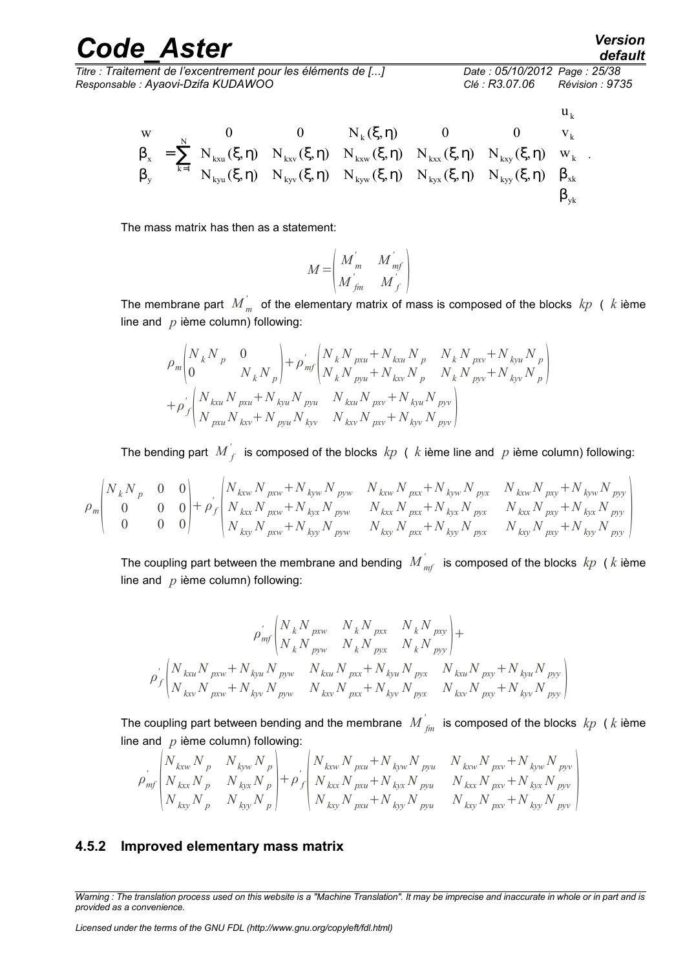*Code\_Aster Version Titre : Traitement de l'excentrement pour les éléments de [...] Date : 05/10/2012 Page : 25/38 Responsable : Ayaovi-Dzifa KUDAWOO Clé : R3.07.06 Révision : 9735*

$$
\begin{pmatrix} w \\ \beta_x \\ \beta_y \end{pmatrix} = \sum_{k=1}^N \begin{pmatrix} 0 & 0 & N_k(\xi,\eta) & 0 & 0 \\ N_{kxu}(\xi,\eta) & N_{kxv}(\xi,\eta) & N_{kxv}(\xi,\eta) & N_{kxx}(\xi,\eta) & N_{kxy}(\xi,\eta) \\ N_{kyu}(\xi,\eta) & N_{kyv}(\xi,\eta) & N_{kyv}(\xi,\eta) & N_{kyx}(\xi,\eta) & N_{kyy}(\xi,\eta) \end{pmatrix} \begin{pmatrix} u_k \\ v_k \\ w_k \\ w_k \\ \beta_{yk} \end{pmatrix}.
$$

The mass matrix has then as a statement:

$$
M\!=\!\!\begin{pmatrix}M^{'}_{m} & M^{'}_{\phantom{'}m\!f}\\ M^{'}_{\phantom{'}fm} & M^{'}_{\phantom{'}f}\end{pmatrix}
$$

The membrane part  $\overline{M}_{m}^{'}$  of the elementary matrix of mass is composed of the blocks  $\overline{kp}$  (  $\overline{k}$  ième line and *p* ième column) following:

$$
\label{eq:3} \begin{array}{ll} \rho_m\!\!\left(\!\! \begin{array}{ccc} \!N_{\,k}N_{\,p} & 0 \!\\ 0 & N_{\,k}N_{\,p} \! \end{array}\!\!\right)\!\!+\!\rho_{\,m\!f}^{'}\!\!\left(\!\! \begin{array}{ccc} \!N_{\,k}N_{\,p x u}\!+\!N_{\,k\alpha u}\,N_{\,p} & N_{\,k}\,N_{\,p x v}\!+\!N_{\,k\gamma u}\,N_{\,p} \!\\ N_{\,k}\,N_{\,p y u}\!+\!N_{\,k\alpha v}\,N_{\,p} & N_{\,k}\,N_{\,p y v}\!+\!N_{\,k\gamma v}\,N_{\,p} \! \end{array}\!\!\right)\\ +\rho_{\,f}^{'}\!\!\left(\!\begin{array}{ccc} \!N_{\,k\alpha}N_{\,p x u}\!+\!N_{\,k\gamma u}\,N_{\,p y u} & N_{\,k\alpha u}\,N_{\,p x v}\!+\!N_{\,k\gamma u}\,N_{\,p y v} \!\\ N_{\,p x u}\,N_{\,k\alpha v}\!+\!N_{\,p y u}\,N_{\,k\gamma v} & N_{\,k\alpha v}\,N_{\,p x v}\!+\!N_{\,k\gamma v}\,N_{\,p y v} \! \end{array}\!\!\right) \end{array}
$$

The bending part  $\overline{M}_f^{'}$  is composed of the blocks  $\overline{kp}$  (  $\overline{k}$  ième line and  $\overline{p}$  ième column) following:

$$
\rho_m \begin{pmatrix} N_k N_p & 0 & 0 \\ 0 & 0 & 0 \\ 0 & 0 & 0 \end{pmatrix} + \rho_f' \begin{pmatrix} N_{kxw} N_{pxw} + N_{kyw} N_{pyw} & N_{kxw} N_{pxx} + N_{kyw} N_{pyx} & N_{kxw} N_{pxy} + N_{kyw} N_{pyy} \\ N_{kxx} N_{pxw} + N_{kyx} N_{pyw} & N_{kxx} N_{pxx} + N_{kyx} N_{pyx} & N_{kxx} N_{pxy} + N_{kyx} N_{pyy} \\ N_{kxy} N_{pxw} + N_{kyy} N_{pyw} & N_{kxy} N_{pxx} + N_{kyy} N_{pyx} & N_{kxy} N_{pxy} + N_{kyy} N_{pyy} \end{pmatrix}
$$

The coupling part between the membrane and bending  $\ M_{m\!f}^{'}\,$  is composed of the blocks  $\ kp\,$  (  $k$  ième line and *p* ième column) following:

$$
\rho_{\rm m}^{'}\left(\begin{matrix} N_{k}N_{p x w} & N_{k}N_{p x x} & N_{k}N_{p x y} \\ N_{k}N_{p y w} & N_{k}N_{p y x} & N_{k}N_{p y y} \end{matrix}\right) + \\ \rho_{f}^{'}\left(\begin{matrix} N_{k x u}N_{p x w} + N_{k y u}N_{p y w} & N_{k x u}N_{p x x} + N_{k y u}N_{p y x} & N_{k x u}N_{p x y} + N_{k y u}N_{p y y} \\ N_{k x v}N_{p x w} + N_{k y v}N_{p y w} & N_{k x v}N_{p x x} + N_{k y v}N_{p y x} & N_{k x v}N_{p x y} + N_{k y v}N_{p y y} \end{matrix}\right)
$$

The coupling part between bending and the membrane  $\ M_{\ \ \bar{f}m}^{'}\,$  is composed of the blocks  $\ kp\,$  (  $k$  ième line and *p* ième column) following:

$$
\rho_{\text{mf}}^{'}\begin{pmatrix} N_{kxw}N_{p} & N_{kyw}N_{p} \\ N_{kxx}N_{p} & N_{kyx}N_{p} \\ N_{kxy}N_{p} & N_{kyy}N_{p} \end{pmatrix} + \rho_{f}^{'}\begin{pmatrix} N_{kxw}N_{pxu} + N_{kyw}N_{pyu} & N_{kxw}N_{pxv} + N_{kyw}N_{pyv} \\ N_{kxx}N_{pxu} + N_{kyx}N_{pyu} & N_{kxx}N_{pxv} + N_{kyx}N_{pyv} \\ N_{kxy}N_{pxu} + N_{kyy}N_{pyu} & N_{kxy}N_{pxv} + N_{kyy}N_{pyv} \end{pmatrix}
$$

#### **4.5.2 Improved elementary mass matrix**

*Licensed under the terms of the GNU FDL (http://www.gnu.org/copyleft/fdl.html)*

*Warning : The translation process used on this website is a "Machine Translation". It may be imprecise and inaccurate in whole or in part and is provided as a convenience.*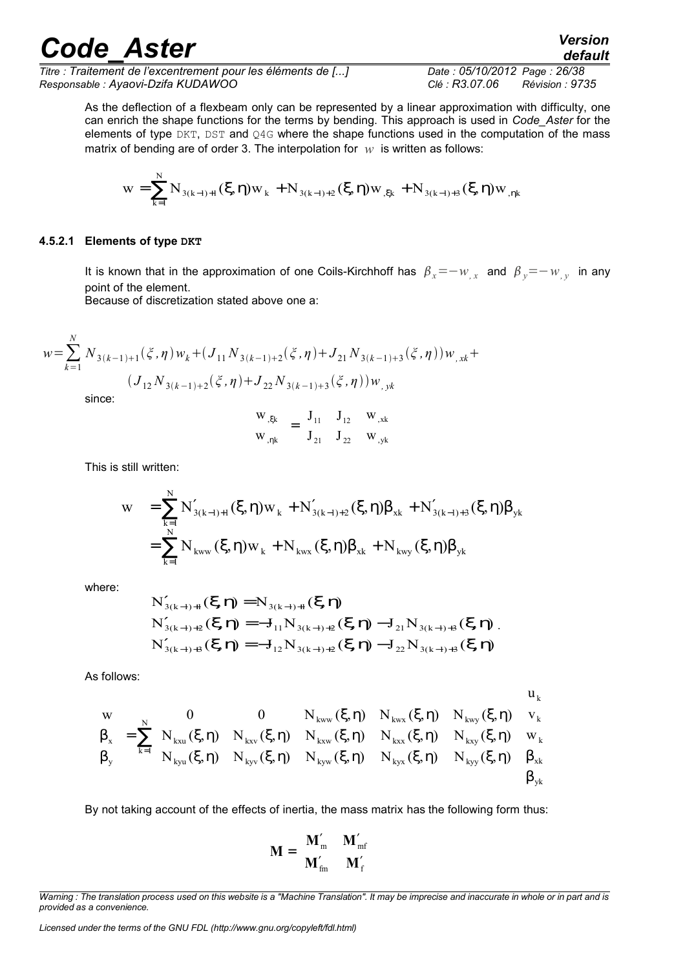*Titre : Traitement de l'excentrement pour les éléments de [...] Date : 05/10/2012 Page : 26/38 Responsable : Ayaovi-Dzifa KUDAWOO Clé : R3.07.06 Révision : 9735*

*default*

As the deflection of a flexbeam only can be represented by a linear approximation with difficulty, one can enrich the shape functions for the terms by bending. This approach is used in *Code\_Aster* for the elements of type DKT, DST and Q4G where the shape functions used in the computation of the mass matrix of bending are of order 3. The interpolation for  $w$  is written as follows:

$$
w = \sum_{k=1}^{N} N_{3(k-l)+1}(\xi, \eta) w_k + N_{3(k-l)+2}(\xi, \eta) w_{,\xi k} + N_{3(k-l)+3}(\xi, \eta) w_{,\eta k}
$$

#### **4.5.2.1 Elements of type DKT**

*N*

It is known that in the approximation of one Coils-Kirchhoff has  $\beta_x$ =− $w_{,x}$  and  $\beta_y$ =− $w_{,y}$  in any point of the element.

Because of discretization stated above one a:

$$
w = \sum_{k=1}^{N} N_{3(k-1)+1}(\xi, \eta) w_k + (J_{11} N_{3(k-1)+2}(\xi, \eta) + J_{21} N_{3(k-1)+3}(\xi, \eta)) w_{,xk} +
$$
  

$$
(J_{12} N_{3(k-1)+2}(\xi, \eta) + J_{22} N_{3(k-1)+3}(\xi, \eta)) w_{,yk}
$$
  
since:

$$
\begin{pmatrix} \mathbf{w}_{, \xi k} \\ \mathbf{w}_{, \eta k} \end{pmatrix} = \begin{pmatrix} \mathbf{J}_{11} & \mathbf{J}_{12} \\ \mathbf{J}_{21} & \mathbf{J}_{22} \end{pmatrix} \begin{pmatrix} \mathbf{w}_{, xk} \\ \mathbf{w}_{, yk} \end{pmatrix}
$$

This is still written:

$$
\begin{array}{ll} w & = \displaystyle \sum_{k=1}^{N} N'_{3(k-l)+1}(\xi,\eta)w_k + N'_{3(k-l)+2}(\xi,\eta)\beta_{xk} + N'_{3(k-l)+3}(\xi,\eta)\beta_{yk} \\ & = \displaystyle \sum_{k=1}^{N} N_{kww}(\xi,\eta)w_k + N_{kwx}(\xi,\eta)\beta_{xk} + N_{kwy}(\xi,\eta)\beta_{yk} \end{array}
$$

where:

$$
N'_{3(k-l)+1}(\xi \eta) = N_{3(k-l)+1}(\xi \eta)
$$
  
\n
$$
N'_{3(k-l)+2}(\xi \eta) = -J_{11} N_{3(k-l)+2}(\xi \eta) - J_{21} N_{3(k-l)+3}(\xi \eta).
$$
  
\n
$$
N'_{3(k-l)+3}(\xi \eta) = -J_{12} N_{3(k-l)+2}(\xi \eta) - J_{22} N_{3(k-l)+3}(\xi \eta).
$$

As follows:

$$
\begin{pmatrix} w \\ \beta_x \\ \beta_y \end{pmatrix} = \sum_{k=1}^N \begin{pmatrix} 0 & 0 & N_{kww}\left(\xi,\eta\right) & N_{kww}\left(\xi,\eta\right) & N_{kwy}\left(\xi,\eta\right) & V_k \\ N_{kwu}\left(\xi,\eta\right) & N_{kxv}\left(\xi,\eta\right) & N_{kxw}\left(\xi,\eta\right) & N_{kxx}\left(\xi,\eta\right) & N_{kxy}\left(\xi,\eta\right) & W_k \\ N_{kyu}\left(\xi,\eta\right) & N_{kyv}\left(\xi,\eta\right) & N_{kyv}\left(\xi,\eta\right) & N_{kyx}\left(\xi,\eta\right) & N_{kyy}\left(\xi,\eta\right) & \beta_{xk} \\ \beta_{yk} & \beta_{yk} & \beta_{yk} \end{pmatrix}
$$

By not taking account of the effects of inertia, the mass matrix has the following form thus:

$$
\mathbf{M} = \begin{pmatrix} \mathbf{M'}_{\text{m}} & \mathbf{M'}_{\text{mf}} \\ \mathbf{M'}_{\text{fm}} & \mathbf{M'}_{\text{f}} \end{pmatrix}
$$

*Warning : The translation process used on this website is a "Machine Translation". It may be imprecise and inaccurate in whole or in part and is provided as a convenience.*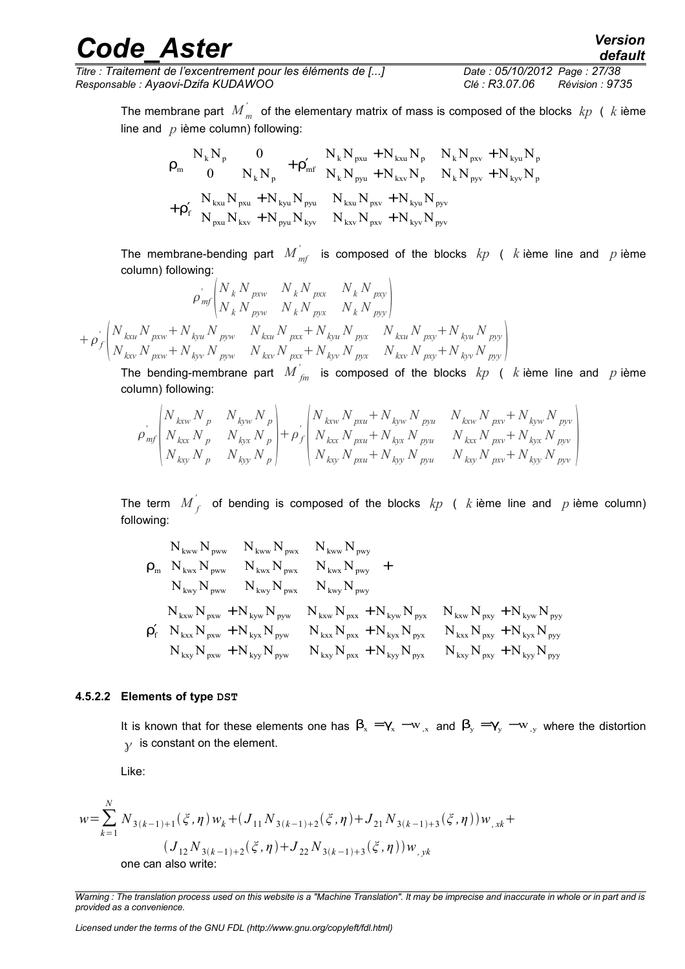*Titre : Traitement de l'excentrement pour les éléments de [...] Date : 05/10/2012 Page : 27/38 Responsable : Ayaovi-Dzifa KUDAWOO Clé : R3.07.06 Révision : 9735*

*default*

The membrane part  $\overline{M}_{m}^{'}$  of the elementary matrix of mass is composed of the blocks  $\overline{kp}$  (  $\overline{k}$  ième line and *p* ième column) following:

$$
\rho_{\rm m}{\begin{pmatrix} N_{\rm k}N_{\rm p} & 0 \\ 0 & N_{\rm k}N_{\rm p} \end{pmatrix}}+\rho_{\rm mf}^\prime{\begin{pmatrix} N_{\rm k}N_{\rm pxu}+N_{\rm kxu}N_{\rm p} & N_{\rm k}N_{\rm pxv}+N_{\rm kyu}N_{\rm p} \\ N_{\rm k}N_{\rm pyu}+N_{\rm kxv}N_{\rm p} & N_{\rm k}N_{\rm pyv}+N_{\rm kyv}N_{\rm p} \end{pmatrix}}\\+\rho_{\rm f}^\prime{\begin{pmatrix} N_{\rm kxu}N_{\rm pxu}+N_{\rm kyu}N_{\rm pyu} & N_{\rm kxu}N_{\rm pxv}+N_{\rm kyu}N_{\rm pyv} \\ N_{\rm pxu}N_{\rm kxv}+N_{\rm pyu}N_{\rm kyv} & N_{\rm kxv}N_{\rm pxv}+N_{\rm kyy}N_{\rm pyv} \end{pmatrix}}
$$

The membrane-bending part  $\overline{M}_{\overline{m}f}^{\prime}$  is composed of the blocks  $\overline{kp}$  (  $\overline{k}$  ième line and  $\overline{p}$  ième column) following:

$$
\rho_{\text{mf}}' \begin{pmatrix} N_k N_{\text{pxw}} & N_k N_{\text{pxx}} & N_k N_{\text{pxy}} \\ N_k N_{\text{pyw}} & N_k N_{\text{pyx}} & N_k N_{\text{pyy}} \end{pmatrix}
$$
  
+ 
$$
\rho_{f}' \begin{pmatrix} N_{\text{kxu}} N_{\text{pxw}} + N_{\text{kyu}} N_{\text{pyw}} & N_{\text{kxu}} N_{\text{pxx}} + N_{\text{kyu}} N_{\text{pyx}} & N_{\text{kxu}} N_{\text{pxy}} + N_{\text{kyu}} N_{\text{pyy}} \\ N_{\text{kxv}} N_{\text{pxw}} + N_{\text{kyv}} N_{\text{pyw}} & N_{\text{kxv}} N_{\text{pxx}} + N_{\text{kyv}} N_{\text{pyx}} & N_{\text{kxv}} N_{\text{pxy}} + N_{\text{kyv}} N_{\text{pyy}} \end{pmatrix}
$$

The bending-membrane part  $M_{\ \dot{m}}^{'}$  is composed of the blocks  $\ kp\,$  (  $\ k$  ième line and  $\ p$  ième column) following:

$$
\rho_{\text{mf}}^{'}\begin{pmatrix} N_{kxw}N_p & N_{kyw}N_p \\ N_{kxx}N_p & N_{kyx}N_p \\ N_{kxy}N_p & N_{kyy}N_p \end{pmatrix} + \rho_{f}^{'}\begin{pmatrix} N_{kxw}N_{pxu} + N_{kyw}N_{pyu} & N_{kxw}N_{pxv} + N_{kyw}N_{pyv} \\ N_{kxx}N_{pxu} + N_{kyx}N_{pyu} & N_{kxx}N_{pxv} + N_{kyx}N_{pyv} \\ N_{kxy}N_{pxu} + N_{kyy}N_{pyu} & N_{kxy}N_{pxv} + N_{kyy}N_{pyv} \end{pmatrix}
$$

The term  $\overline{M}_f^{\prime}$  of bending is composed of the blocks  $\overline{kp}$  (  $k$  ième line and  $p$  ième column) following:

$$
\rho_{\rm m} \left( \begin{matrix} N_{\rm kww} N_{\rm pww} & N_{\rm kww} N_{\rm pwx} & N_{\rm kww} N_{\rm pwy} \\ N_{\rm kwy} N_{\rm pww} & N_{\rm kwx} N_{\rm pwx} & N_{\rm kwy} N_{\rm pwy} \\ N_{\rm kwy} N_{\rm pww} & N_{\rm kwy} N_{\rm pwx} & N_{\rm kwy} N_{\rm pwy} \end{matrix} \right) + \\ \rho_{\rm f} \left( \begin{matrix} N_{\rm kxx} N_{\rm pww} + N_{\rm kyw} N_{\rm pyw} & N_{\rm kxw} N_{\rm pxx} + N_{\rm kyw} N_{\rm pyx} & N_{\rm kxw} N_{\rm pyx} + N_{\rm kyw} N_{\rm pyy} \\ N_{\rm kxx} N_{\rm pxw} + N_{\rm kyx} N_{\rm pyw} & N_{\rm kxx} N_{\rm pxx} + N_{\rm kyx} N_{\rm pyx} & N_{\rm kxx} N_{\rm pyx} + N_{\rm kyx} N_{\rm pyy} \\ N_{\rm kxy} N_{\rm pxw} + N_{\rm kyy} N_{\rm pyw} & N_{\rm kxy} N_{\rm pxx} + N_{\rm kyy} N_{\rm pyx} & N_{\rm kxy} N_{\rm pyx} + N_{\rm kyy} N_{\rm pyy} \end{matrix} \right)
$$

#### **4.5.2.2 Elements of type DST**

It is known that for these elements one has  $\beta_x = \gamma_x - w_{,x}$  and  $\beta_y = \gamma_y - w_{,y}$  where the distortion  $\gamma$  is constant on the element.

Like:

$$
w = \sum_{k=1}^{N} N_{3(k-1)+1}(\xi, \eta) w_k + (J_{11} N_{3(k-1)+2}(\xi, \eta) + J_{21} N_{3(k-1)+3}(\xi, \eta)) w_{,xk} +
$$
  

$$
(J_{12} N_{3(k-1)+2}(\xi, \eta) + J_{22} N_{3(k-1)+3}(\xi, \eta)) w_{,yk}
$$
  
one can also write:

*Warning : The translation process used on this website is a "Machine Translation". It may be imprecise and inaccurate in whole or in part and is provided as a convenience.*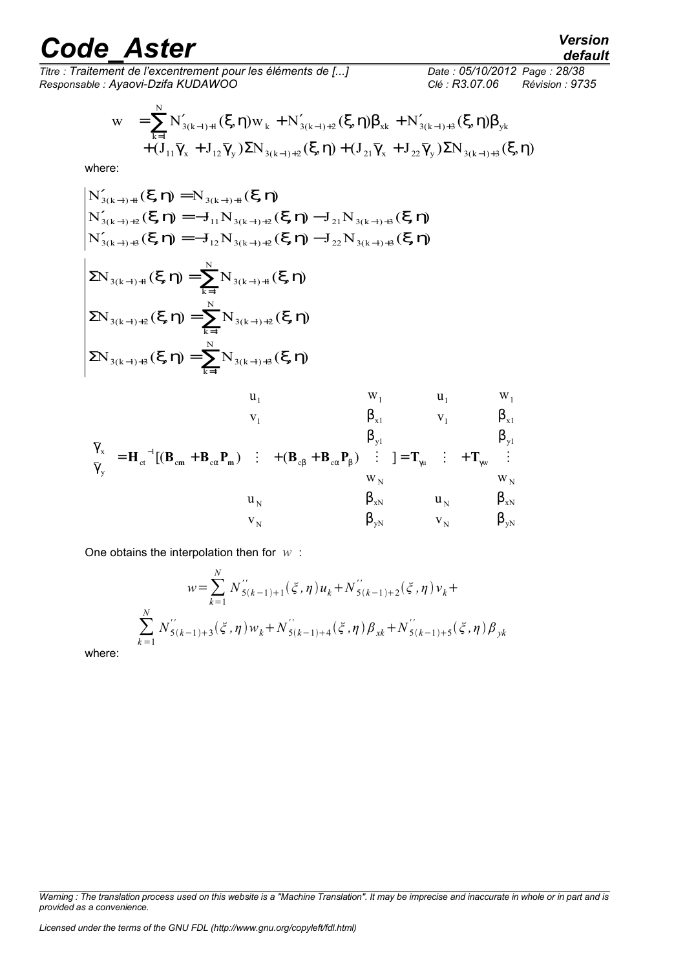*Titre : Traitement de l'excentrement pour les éléments de [...] Date : 05/10/2012 Page : 28/38 Responsable : Ayaovi-Dzifa KUDAWOO Clé : R3.07.06 Révision : 9735*

*default*

$$
\begin{array}{ll} w&=\displaystyle{\sum_{k=l}^N}N'_{3(k-l)+l}(\xi,\eta)w_k+N'_{3(k-l)+2}(\xi,\eta)\beta_{xk}+N'_{3(k-l)+3}(\xi,\eta)\beta_{yk}\\ &+(J_{11}\overline{\gamma}_x+J_{12}\overline{\gamma}_y)\Sigma N_{3(k-l)+2}(\xi,\eta)+(J_{21}\overline{\gamma}_x+J_{22}\overline{\gamma}_y)\Sigma N_{3(k-l)+3}(\xi,\eta)\end{array}
$$

where:

$$
\begin{bmatrix}\nN'_{3(k-l)+1}(\xi,\eta) = N_{3(k-l)+1}(\xi,\eta) \\
N'_{3(k-l)+2}(\xi,\eta) = -J_{11}N_{3(k-l)+2}(\xi,\eta) - J_{21}N_{3(k-l)+3}(\xi,\eta) \\
N'_{3(k-l)+3}(\xi,\eta) = -J_{12}N_{3(k-l)+2}(\xi,\eta) - J_{22}N_{3(k-l)+3}(\xi,\eta) \\
\hline\n\end{bmatrix}
$$
\n
$$
\begin{aligned}\n&N'_{3(k-l)+1}(\xi,\eta) = \sum_{k=l}^{N} N_{3(k-l)+1}(\xi,\eta) \\
&N_{3(k-l)+2}(\xi,\eta) = \sum_{k=l}^{N} N_{3(k-l)+2}(\xi,\eta) \\
&N_{3(k-l)+3}(\xi,\eta) = \sum_{k=l}^{N} N_{3(k-l)+3}(\xi,\eta) \\
&N_{3(k-l)+3}(\xi,\eta) = \sum_{k=l}^{N} N_{3(k-l)+3}(\xi,\eta) \\
&N_{3(k-l)+3}(\xi,\eta) = \sum_{k=l}^{N} N_{3(k-l)+3}(\xi,\eta) \\
&N_{3(k-l)+3}(\xi,\eta) = \sum_{k=l}^{N} N_{3(k-l)+3}(\xi,\eta) \\
&N_{3(k-l)+4}(\xi,\eta) = \sum_{k=l}^{N} N_{3(k-l)+3}(\xi,\eta) \\
&N_{3(k-l)+2}(\xi,\eta) = \sum_{k=l}^{N} N_{3(k-l)+3}(\xi,\eta) \\
&N_{3(k-l)+4}(\xi,\eta) = \sum_{k=l}^{N} N_{3(k-l)+2}(\xi,\eta) \\
&N_{3(k-l)+5}(\xi,\eta) = \sum_{k=l}^{N} N_{3(k-l)+2}(\xi,\eta) \\
&N_{3(k-l)+6}(\xi,\eta) = \sum_{k=l}^{N} N_{3(k-l)+2}(\xi,\eta) \\
&N_{3(k-l)+7}(\xi,\eta) = \sum_{k=l}^{N} N_{3(k-l)+8}(\xi,\eta) \\
&N_{3(k-l)+8}(\xi,\eta) = \sum_{k=l}^{N} N_{3(k-l)+8}(\xi,\eta) \\
&N_{3(k-l)+8}(\xi,\eta) = \sum_{k=l}^{N} N_{3(k-l)+8}(\xi,\eta) \\
&N_{3(k-l)+8}(\xi,\eta) = \sum_{k=l}^{N} N_{3(k-l)+8}(\xi,\eta) \\
&N_{3(k
$$

One obtains the interpolation then for *w* :

$$
w = \sum_{k=1}^{N} N_{S(k-1)+1}^{''}(\xi, \eta) u_k + N_{S(k-1)+2}^{''}(\xi, \eta) v_k +
$$
  

$$
\sum_{k=1}^{N} N_{S(k-1)+3}^{''}(\xi, \eta) w_k + N_{S(k-1)+4}^{''}(\xi, \eta) \beta_{xk} + N_{S(k-1)+5}^{''}(\xi, \eta) \beta_{yk}
$$

where:

*Licensed under the terms of the GNU FDL (http://www.gnu.org/copyleft/fdl.html)*

*Warning : The translation process used on this website is a "Machine Translation". It may be imprecise and inaccurate in whole or in part and is provided as a convenience.*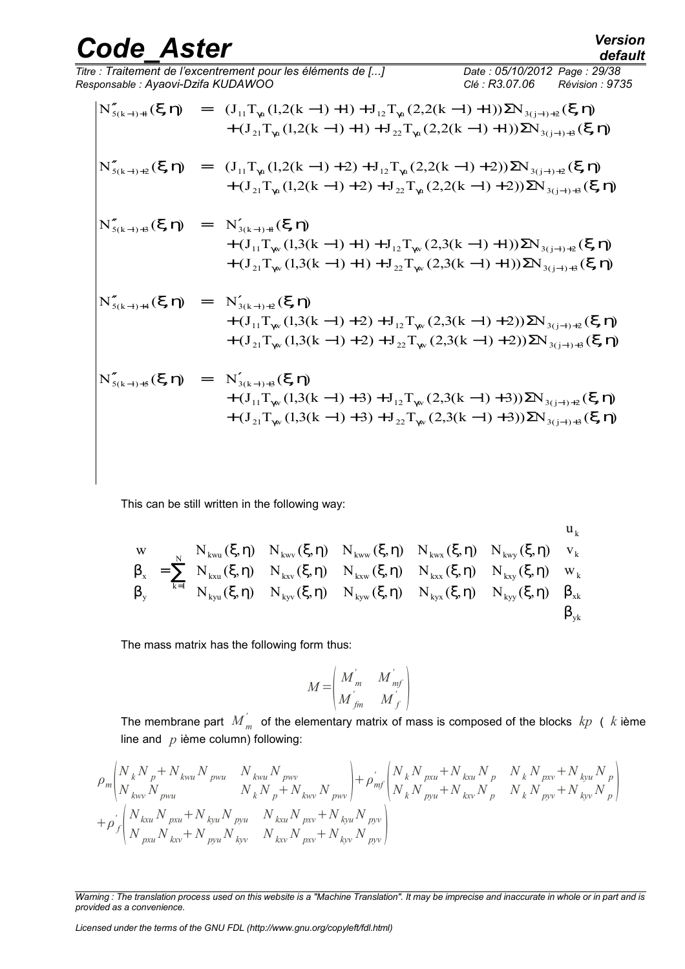*Titre : Traitement de l'excentrement pour les éléments de [...] Date : 05/10/2012 Page : 29/38 Responsable : Ayaovi-Dzifa KUDAWOO Clé : R3.07.06 Révision : 9735*  $N''_{s(k-1)+1}(\xi \eta) = (J_{11}T_{\gamma a}(1,2(k-1)+1) + J_{12}T_{\gamma a}(2,2(k-1)+1))\Sigma N_{3(j-1)+2}(\xi \eta)$ 

$$
+ (J_{21}T_{\gamma\mu}(1,2(k-1)+1) + J_{22}T_{\gamma\mu}(2,2(k-1)+1))\Sigma N_{3(j-1)+3}(\xi\eta)
$$
  

$$
N_{5(k-1)+2}''(\xi\eta) = (J_{11}T_{\gamma\mu}(1,2(k-1)+2) + J_{12}T_{\gamma\mu}(2,2(k-1)+2))\Sigma N_{3(j-1)+2}(\xi\eta)
$$
  

$$
+ (J_{21}T_{\gamma\mu}(1,2(k-1)+2) + J_{22}T_{\gamma\mu}(2,2(k-1)+2))\Sigma N_{3(j-1)+3}(\xi\eta)
$$

$$
N''_{5(k-l)+3}(\xi \eta) = N'_{3(k-l)+1}(\xi \eta) + (J_{11}T_{\gamma_{W}}(1,3(k-l)+1)+J_{12}T_{\gamma_{W}}(2,3(k-l)+1))\Sigma N_{3(j-l)+2}(\xi \eta) + (J_{21}T_{\gamma_{W}}(1,3(k-l)+1)+J_{22}T_{\gamma_{W}}(2,3(k-l)+1))\Sigma N_{3(j-l)+3}(\xi \eta)
$$

$$
\begin{array}{lll} N''_{5(k-l)+4}(\xi\,\eta)&=&N'_{3(k-l)+2}(\xi\,\eta)\\&+ (J_{11}T_{\gamma_W}(1,3(k-l)+2)+J_{12}T_{\gamma_W}(2,3(k-l)+2))\Sigma N_{3(j-l)+2}(\xi\,\eta)\\&+ (J_{21}T_{\gamma_W}(1,3(k-l)+2)+J_{22}T_{\gamma_W}(2,3(k-l)+2))\Sigma N_{3(j-l)+3}(\xi\,\eta)\end{array}
$$

$$
N''_{5(k-l)+5}(\xi \eta) = N'_{3(k-l)+3}(\xi \eta) + (J_{11}T_{\gamma_{W}}(1,3(k-l)+3)+J_{12}T_{\gamma_{W}}(2,3(k-l)+3))\Sigma N_{3(j-l)+2}(\xi \eta) + (J_{21}T_{\gamma_{W}}(1,3(k-l)+3)+J_{22}T_{\gamma_{W}}(2,3(k-l)+3))\Sigma N_{3(j-l)+3}(\xi \eta)
$$

This can be still written in the following way:

$$
\begin{pmatrix} w \\ \beta_x \\ \beta_y \end{pmatrix} = \sum_{k=1}^N \begin{pmatrix} N_{kwu}(\xi,\eta) & N_{kww}(\xi,\eta) & N_{kww}(\xi,\eta) & N_{kwx}(\xi,\eta) & N_{kwy}(\xi,\eta) \\ N_{kxu}(\xi,\eta) & N_{kxv}(\xi,\eta) & N_{kxw}(\xi,\eta) & N_{kxx}(\xi,\eta) & N_{kxy}(\xi,\eta) \\ N_{kyu}(\xi,\eta) & N_{kyv}(\xi,\eta) & N_{kyw}(\xi,\eta) & N_{kyx}(\xi,\eta) & N_{kyy}(\xi,\eta) \\ \beta_y & \beta_{xk} & \beta_{yk} \end{pmatrix}
$$

The mass matrix has the following form thus:

$$
M = \begin{pmatrix} M_m' & M_{mf}' \\ M_{fm}' & M_{f}' \end{pmatrix}
$$

The membrane part  $\overline{M}_{m}^{'}$  of the elementary matrix of mass is composed of the blocks  $\overline{kp}$  (  $\overline{k}$  ième line and *p* ième column) following:

$$
\rho_m\n\begin{pmatrix}\nN_k N_p + N_{kwu} N_{pwu} & N_{kwu} N_{puv} \\
N_{kuv} N_{pwu} & N_k N_p + N_{kuv} N_{puv}\n\end{pmatrix}\n+\n\rho'_{mf}\n\begin{pmatrix}\nN_k N_{pxu} + N_{kvu} N_p & N_k N_{pxv} + N_{kyu} N_p \\
N_k N_{pyu} + N_{kvv} N_p & N_k N_{pyv} + N_{kyv} N_p\n\end{pmatrix}\n+\n\rho'_{f}\n\begin{pmatrix}\nN_{kvu} N_{pxu} + N_{kvu} N_{pvu} & N_{kuv} N_{pvu} \\
N_{pxu} N_{pxu} + N_{kyu} N_{pyu} & N_{kuv} N_{pxv} + N_{kyu} N_{pyv}\n\end{pmatrix}
$$

*Licensed under the terms of the GNU FDL (http://www.gnu.org/copyleft/fdl.html)*

*Warning : The translation process used on this website is a "Machine Translation". It may be imprecise and inaccurate in whole or in part and is provided as a convenience.*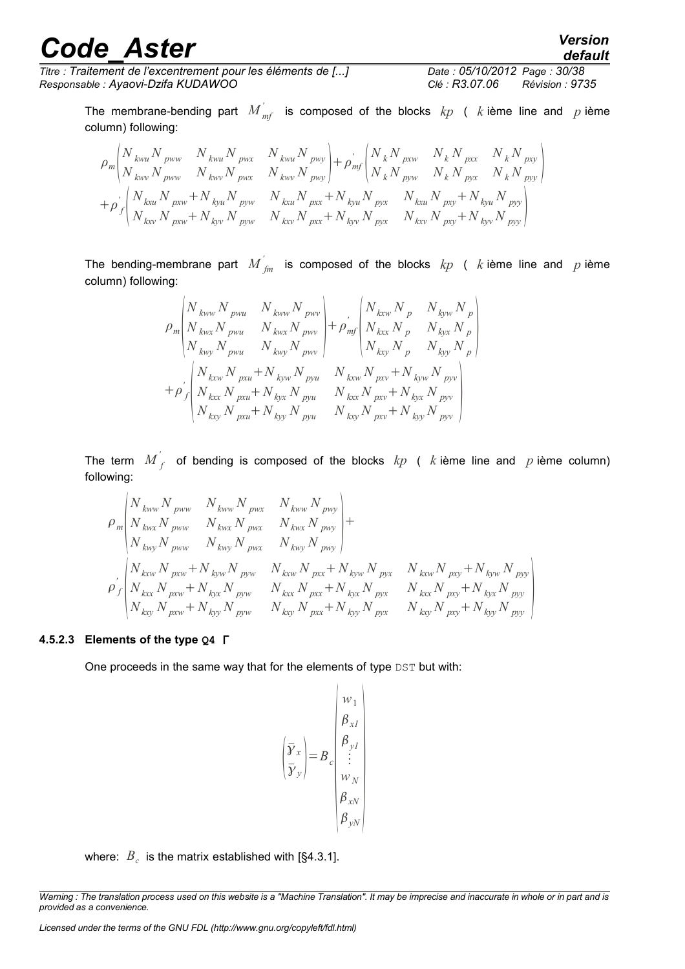*Titre : Traitement de l'excentrement pour les éléments de [...] Date : 05/10/2012 Page : 30/38 Responsable : Ayaovi-Dzifa KUDAWOO Clé : R3.07.06 Révision : 9735*

The membrane-bending part  $\overline{M}_{mf}^{'}$  is composed of the blocks  $\overline{kp}$  (  $\overline{k}$  ième line and  $\overline{p}$  ième column) following:

$$
\rho_m \begin{pmatrix} N_{kwu} N_{pww} & N_{kwu} N_{pwx} & N_{kwu} N_{pwy} \\ N_{kuv} N_{pww} & N_{kuv} N_{pwx} & N_{kuv} N_{pwy} \end{pmatrix} + \rho_{mf} \begin{pmatrix} N_k N_{pxw} & N_k N_{pxx} & N_k N_{pxy} \\ N_k N_{pyw} & N_k N_{pxx} & N_k N_{pyy} \\ N_k N_{pyx} & N_k N_{pyx} + N_{kyu} N_{pyw} & N_{kxu} N_{pxx} + N_{kyu} N_{pyx} & N_{kxu} N_{pxy} + N_{kyu} N_{pyy} \\ N_{kxv} N_{pxw} + N_{kyv} N_{pyw} & N_{kxv} N_{pxx} + N_{kyv} N_{pyx} & N_{kxv} N_{pxy} + N_{kyv} N_{pyy} \end{pmatrix}
$$

The bending-membrane part  $M_{fm}^{'}$  is composed of the blocks  $kp$  (  $k$  ième line and  $p$  ième column) following:

$$
\rho_m \begin{pmatrix} N_{kww} N_{pwu} & N_{kww} N_{puv} \\ N_{kwx} N_{pwu} & N_{kwx} N_{puv} \\ N_{kwy} N_{pwu} & N_{kwy} N_{puv} \end{pmatrix} + \rho_{mf} \begin{pmatrix} N_{kxw} N_p & N_{kyw} N_p \\ N_{kxx} N_p & N_{kyx} N_p \\ N_{kxy} N_p & N_{kyy} N_p \end{pmatrix}
$$
  
+
$$
\rho_f \begin{pmatrix} N_{kxw} N_{pxu} + N_{kyw} N_{pyu} & N_{kxw} N_{pxv} + N_{kyw} N_{pyv} \\ N_{kxx} N_{pxu} + N_{kyx} N_{pyu} & N_{kxx} N_{pxv} + N_{kyx} N_{pyv} \\ N_{kxy} N_{pxu} + N_{kyy} N_{pyu} & N_{kxy} N_{pxv} + N_{kyy} N_{pyv} \end{pmatrix}
$$

The term  $\overline{M}_f^{\prime}$  of bending is composed of the blocks  $kp$  (  $k$  ième line and  $p$  ième column) following:

$$
\rho_{m} \begin{bmatrix} N_{kww} N_{pww} & N_{kww} N_{pwx} & N_{kww} N_{pwy} \\ N_{kwx} N_{pww} & N_{kwx} N_{pwx} & N_{kwy} N_{pwy} \\ N_{kwy} N_{pww} & N_{kwy} N_{pwx} & N_{kwy} N_{pwy} \end{bmatrix} + \\ \rho_{f} \begin{bmatrix} N_{kvw} N_{pxw} + N_{kyw} N_{pyw} & N_{kvw} N_{pxx} + N_{kyw} N_{px} & N_{kvw} N_{pxy} + N_{kyw} N_{pyy} \\ N_{kxx} N_{pxw} + N_{kyx} N_{pyw} & N_{kxx} N_{pxx} + N_{kyx} N_{pyx} & N_{kxx} N_{pxy} + N_{kyx} N_{pyy} \\ N_{kxy} N_{pxw} + N_{kyy} N_{pyw} & N_{ky} N_{pxx} + N_{kyy} N_{pyx} & N_{kyy} N_{pxy} + N_{kyy} N_{pyy} \end{bmatrix}
$$

#### **4.5.2.3 Elements of the type Q4** Γ

One proceeds in the same way that for the elements of type DST but with:

$$
\begin{pmatrix}\n\overline{y}_x \\
\overline{y}_y\n\end{pmatrix} = B_c \begin{pmatrix}\nw_1 \\
\overline{y}_x \\
\overline{y}_y\n\end{pmatrix}
$$

where:  $B_c$  is the matrix established with [§4.3.1].

*Warning : The translation process used on this website is a "Machine Translation". It may be imprecise and inaccurate in whole or in part and is provided as a convenience.*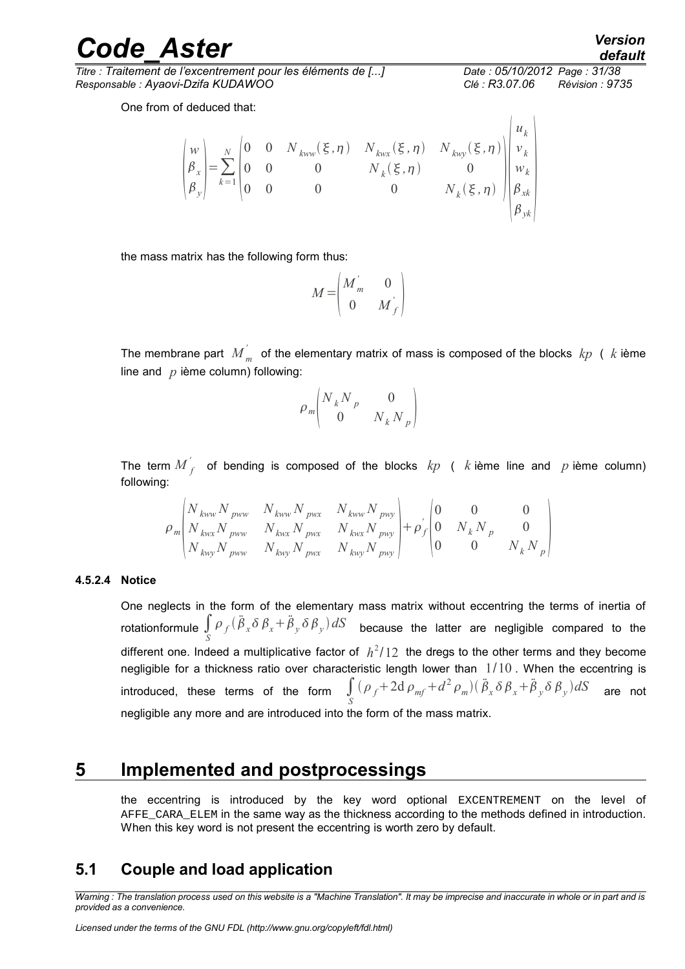*Titre : Traitement de l'excentrement pour les éléments de [...] Date : 05/10/2012 Page : 31/38 Responsable : Ayaovi-Dzifa KUDAWOO Clé : R3.07.06 Révision : 9735*

 $\overline{1}$  $\sim$ 

One from of deduced that:

$$
\begin{pmatrix} w \\ \beta_x \\ \beta_y \end{pmatrix} = \sum_{k=1}^{N} \begin{pmatrix} 0 & 0 & N_{kww}(\xi, \eta) & N_{kwx}(\xi, \eta) & N_{kwy}(\xi, \eta) \\ 0 & 0 & 0 & N_k(\xi, \eta) & 0 \\ 0 & 0 & 0 & 0 & N_k(\xi, \eta) \end{pmatrix} \begin{pmatrix} u_k \\ v_k \\ w_k \\ \beta_{kk} \\ \beta_{yk} \end{pmatrix}
$$

the mass matrix has the following form thus:

$$
M = \begin{pmatrix} M_m' & 0 \\ 0 & M_f' \end{pmatrix}
$$

The membrane part  $\overline{M}_{m}^{'}$  of the elementary matrix of mass is composed of the blocks  $\overline{kp}$  (  $\overline{k}$  ième line and *p* ième column) following:

$$
\rho_m \begin{pmatrix} N_k N_p & 0 \\ 0 & N_k N_p \end{pmatrix}
$$

The term  $\overline{M}_f^{\prime}$  of bending is composed of the blocks  $\overline{kp}$  (  $\overline{k}$  ième line and  $\overline{p}$  ième column) following:

$$
\rho_m \begin{pmatrix} N_{kww} N_{pww} & N_{kww} N_{pwx} & N_{kww} N_{pwy} \\ N_{kwx} N_{pww} & N_{kwx} N_{pwx} & N_{kwx} N_{pwy} \\ N_{kwy} N_{pww} & N_{kwy} N_{pwx} & N_{kwy} N_{pwy} \end{pmatrix} + \rho_f' \begin{pmatrix} 0 & 0 & 0 \\ 0 & N_k N_p & 0 \\ 0 & 0 & N_k N_p \end{pmatrix}
$$

#### **4.5.2.4 Notice**

One neglects in the form of the elementary mass matrix without eccentring the terms of inertia of rotationformule ∫ *S*  $\rho_f$  $(\ddot{\beta}_x \delta \beta_x + \ddot{\beta}_y \delta \beta_y) dS$  because the latter are negligible compared to the different one. Indeed a multiplicative factor of  $h^2/12$  the dregs to the other terms and they become negligible for a thickness ratio over characteristic length lower than  $1/10$ . When the eccentring is introduced, these terms of the form  $\int\limits_{S}$  $(\rho_f + 2d \rho_m f + d^2 \rho_m)(\ddot{\beta}_x \delta \beta_x + \ddot{\beta}_y \delta \beta_y) dS$  are not negligible any more and are introduced into the form of the mass matrix.

### **5 Implemented and postprocessings**

<span id="page-30-0"></span>the eccentring is introduced by the key word optional EXCENTREMENT on the level of AFFE CARA ELEM in the same way as the thickness according to the methods defined in introduction. When this key word is not present the eccentring is worth zero by default.

### **5.1 Couple and load application**

*Warning : The translation process used on this website is a "Machine Translation". It may be imprecise and inaccurate in whole or in part and is provided as a convenience.*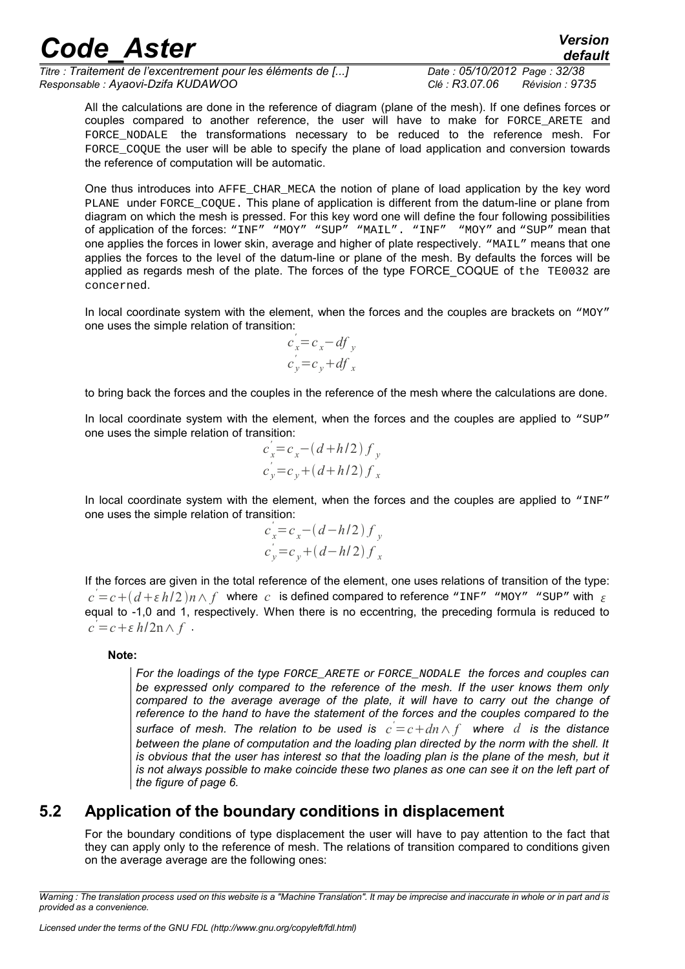*Titre : Traitement de l'excentrement pour les éléments de [...] Date : 05/10/2012 Page : 32/38 Responsable : Ayaovi-Dzifa KUDAWOO Clé : R3.07.06 Révision : 9735*

*default*

All the calculations are done in the reference of diagram (plane of the mesh). If one defines forces or couples compared to another reference, the user will have to make for FORCE\_ARETE and FORCE NODALE the transformations necessary to be reduced to the reference mesh. For FORCE\_COOUE the user will be able to specify the plane of load application and conversion towards the reference of computation will be automatic.

One thus introduces into AFFE CHAR MECA the notion of plane of load application by the key word PLANE under FORCE COQUE. This plane of application is different from the datum-line or plane from diagram on which the mesh is pressed. For this key word one will define the four following possibilities of application of the forces: "INF" "MOY" "SUP" "MAIL". "INF" "MOY" and "SUP" mean that one applies the forces in lower skin, average and higher of plate respectively. "MAIL" means that one applies the forces to the level of the datum-line or plane of the mesh. By defaults the forces will be applied as regards mesh of the plate. The forces of the type FORCE\_COQUE of the TE0032 are concerned.

In local coordinate system with the element, when the forces and the couples are brackets on  $m\omega_Y$ one uses the simple relation of transition:

$$
c_x' = c_x - df_y
$$
  

$$
c_y' = c_y + df_x
$$

to bring back the forces and the couples in the reference of the mesh where the calculations are done.

In local coordinate system with the element, when the forces and the couples are applied to  $"SUP"$ one uses the simple relation of transition:

$$
c_x = c_x - (d + h/2) f_y
$$
  
\n
$$
c_y = c_y + (d + h/2) f_x
$$

In local coordinate system with the element, when the forces and the couples are applied to  $\lceil \text{NIF''} \rceil$ one uses the simple relation of transition:

$$
c_x = c_x - (d - h/2) f_y
$$
  

$$
c_y = c_y + (d - h/2) f_x
$$

If the forces are given in the total reference of the element, one uses relations of transition of the type:  $c^{'}$ = *c* + ( *d* + *ε h* / 2 ) $n \wedge f$  where  $c$  is defined compared to reference "INF" "MOY" "SUP" with  $\varepsilon$ equal to -1,0 and 1, respectively. When there is no eccentring, the preceding formula is reduced to  $c'$  = *c* +  $\varepsilon$  *h*/2n  $\wedge$  *f* .

#### **Note:**

*For the loadings of the type* FORCE\_ARETE *or* FORCE\_NODALE *the forces and couples can be expressed only compared to the reference of the mesh. If the user knows them only compared to the average average of the plate, it will have to carry out the change of reference to the hand to have the statement of the forces and the couples compared to the*  $s$ *urface of mesh. The relation to be used is*  $c^{'}\!=\!c\!+\!dn\wedge f\!$  *where*  $\,d\,$  *is the distance between the plane of computation and the loading plan directed by the norm with the shell. It is obvious that the user has interest so that the loading plan is the plane of the mesh, but it is not always possible to make coincide these two planes as one can see it on the left part of the figure of page 6.*

### **5.2 Application of the boundary conditions in displacement**

For the boundary conditions of type displacement the user will have to pay attention to the fact that they can apply only to the reference of mesh. The relations of transition compared to conditions given on the average average are the following ones:

*Warning : The translation process used on this website is a "Machine Translation". It may be imprecise and inaccurate in whole or in part and is provided as a convenience.*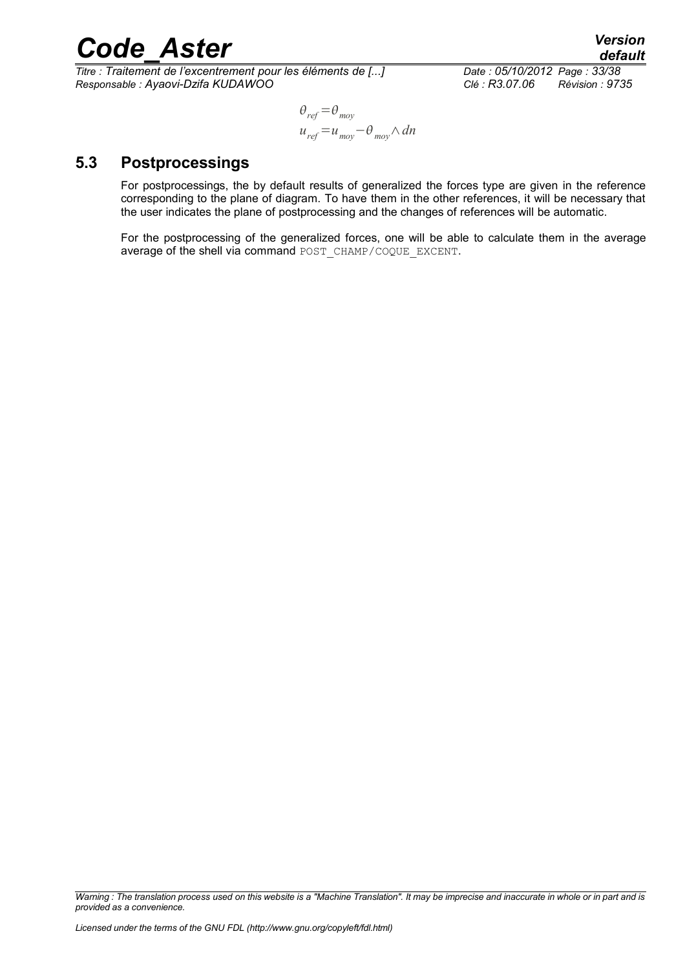*Titre : Traitement de l'excentrement pour les éléments de [...] Date : 05/10/2012 Page : 33/38 Responsable : Ayaovi-Dzifa KUDAWOO Clé : R3.07.06 Révision : 9735*

$$
\theta_{ref} = \theta_{moy}
$$
  

$$
u_{ref} = u_{moy} - \theta_{moy} \wedge dn
$$

### **5.3 Postprocessings**

For postprocessings, the by default results of generalized the forces type are given in the reference corresponding to the plane of diagram. To have them in the other references, it will be necessary that the user indicates the plane of postprocessing and the changes of references will be automatic.

For the postprocessing of the generalized forces, one will be able to calculate them in the average average of the shell via command POST\_CHAMP/COQUE\_EXCENT.

*Warning : The translation process used on this website is a "Machine Translation". It may be imprecise and inaccurate in whole or in part and is provided as a convenience.*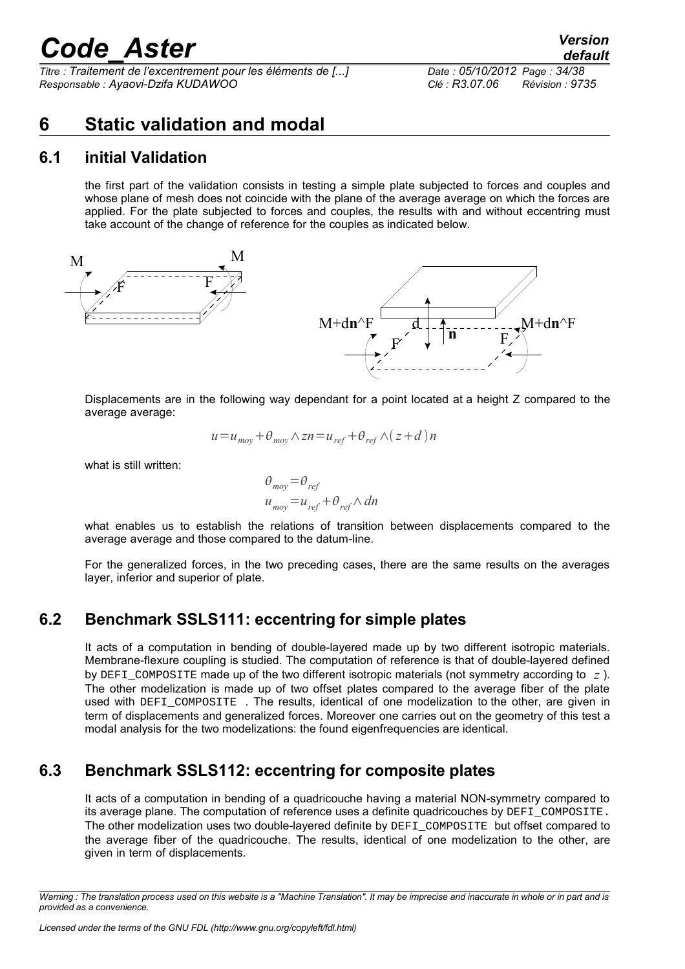*Titre : Traitement de l'excentrement pour les éléments de [...] Date : 05/10/2012 Page : 34/38 Responsable : Ayaovi-Dzifa KUDAWOO Clé : R3.07.06 Révision : 9735*

### **6 Static validation and modal**

### **6.1 initial Validation**

the first part of the validation consists in testing a simple plate subjected to forces and couples and whose plane of mesh does not coincide with the plane of the average average on which the forces are applied. For the plate subjected to forces and couples, the results with and without eccentring must take account of the change of reference for the couples as indicated below.



Displacements are in the following way dependant for a point located at a height Z compared to the average average:

$$
u = u_{moy} + \theta_{moy} \wedge zn = u_{ref} + \theta_{ref} \wedge (z + d) n
$$

what is still written:

$$
\theta_{moy} = \theta_{ref}
$$
  

$$
u_{moy} = u_{ref} + \theta_{ref} \wedge dn
$$

what enables us to establish the relations of transition between displacements compared to the average average and those compared to the datum-line.

For the generalized forces, in the two preceding cases, there are the same results on the averages layer, inferior and superior of plate.

### **6.2 Benchmark SSLS111: eccentring for simple plates**

It acts of a computation in bending of double-layered made up by two different isotropic materials. Membrane-flexure coupling is studied. The computation of reference is that of double-layered defined by DEFI COMPOSITE made up of the two different isotropic materials (not symmetry according to  $z$ ). The other modelization is made up of two offset plates compared to the average fiber of the plate used with DEFI\_COMPOSITE . The results, identical of one modelization to the other, are given in term of displacements and generalized forces. Moreover one carries out on the geometry of this test a modal analysis for the two modelizations: the found eigenfrequencies are identical.

### **6.3 Benchmark SSLS112: eccentring for composite plates**

It acts of a computation in bending of a quadricouche having a material NON-symmetry compared to its average plane. The computation of reference uses a definite quadricouches by DEFI\_COMPOSITE. The other modelization uses two double-layered definite by DEFI\_COMPOSITE but offset compared to the average fiber of the quadricouche. The results, identical of one modelization to the other, are given in term of displacements.

*Warning : The translation process used on this website is a "Machine Translation". It may be imprecise and inaccurate in whole or in part and is provided as a convenience.*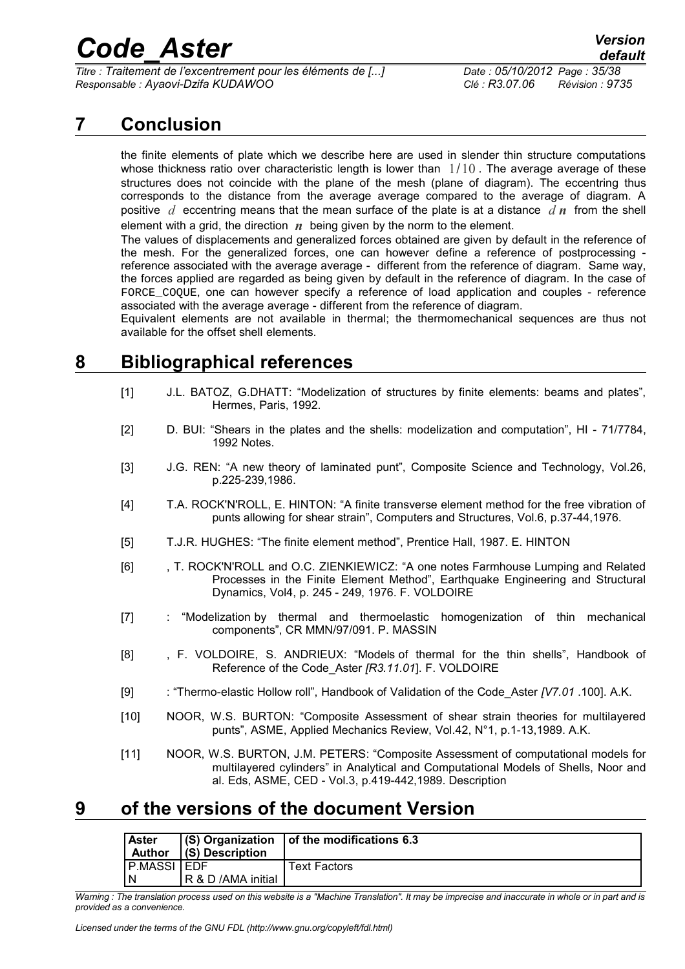*Titre : Traitement de l'excentrement pour les éléments de [...] Date : 05/10/2012 Page : 35/38 Responsable : Ayaovi-Dzifa KUDAWOO Clé : R3.07.06 Révision : 9735*

### **7 Conclusion**

the finite elements of plate which we describe here are used in slender thin structure computations whose thickness ratio over characteristic length is lower than  $1/10$ . The average average of these structures does not coincide with the plane of the mesh (plane of diagram). The eccentring thus corresponds to the distance from the average average compared to the average of diagram. A positive *d* eccentring means that the mean surface of the plate is at a distance *d n* from the shell element with a grid, the direction  $n$  being given by the norm to the element.

The values of displacements and generalized forces obtained are given by default in the reference of the mesh. For the generalized forces, one can however define a reference of postprocessing reference associated with the average average - different from the reference of diagram. Same way, the forces applied are regarded as being given by default in the reference of diagram. In the case of FORCE\_COQUE, one can however specify a reference of load application and couples - reference associated with the average average - different from the reference of diagram.

Equivalent elements are not available in thermal; the thermomechanical sequences are thus not available for the offset shell elements.

### **8 Bibliographical references**

- [1] J.L. BATOZ, G.DHATT: "Modelization of structures by finite elements: beams and plates", Hermes, Paris, 1992.
- [2] D. BUI: "Shears in the plates and the shells: modelization and computation", HI 71/7784, 1992 Notes.
- [3] J.G. REN: "A new theory of laminated punt", Composite Science and Technology, Vol.26, p.225-239,1986.
- [4] T.A. ROCK'N'ROLL, E. HINTON: "A finite transverse element method for the free vibration of punts allowing for shear strain", Computers and Structures, Vol.6, p.37-44,1976.
- [5] T.J.R. HUGHES: "The finite element method", Prentice Hall, 1987. E. HINTON
- [6] T. ROCK'N'ROLL and O.C. ZIENKIEWICZ: "A one notes Farmhouse Lumping and Related Processes in the Finite Element Method", Earthquake Engineering and Structural Dynamics, Vol4, p. 245 - 249, 1976. F. VOLDOIRE
- [7] : "Modelization by thermal and thermoelastic homogenization of thin mechanical components", CR MMN/97/091. P. MASSIN
- [8] , F. VOLDOIRE, S. ANDRIEUX: "Models of thermal for the thin shells", Handbook of Reference of the Code\_Aster *[R3.11.01*]. F. VOLDOIRE
- [9] : "Thermo-elastic Hollow roll", Handbook of Validation of the Code\_Aster *[V7.01* .100]. A.K.
- [10] NOOR, W.S. BURTON: "Composite Assessment of shear strain theories for multilayered punts", ASME, Applied Mechanics Review, Vol.42, N°1, p.1-13,1989. A.K.
- [11] NOOR, W.S. BURTON, J.M. PETERS: "Composite Assessment of computational models for multilayered cylinders" in Analytical and Computational Models of Shells, Noor and al. Eds, ASME, CED - Vol.3, p.419-442,1989. Description

### **9 of the versions of the document Version**

| <b>Aster</b><br><b>Author</b> | (S) Description    | $\vert$ (S) Organization $\vert$ of the modifications 6.3 |
|-------------------------------|--------------------|-----------------------------------------------------------|
| P.MASSI                       | EDF                | <b>Text Factors</b>                                       |
| 'N                            | R & D /AMA initial |                                                           |

*Warning : The translation process used on this website is a "Machine Translation". It may be imprecise and inaccurate in whole or in part and is provided as a convenience.*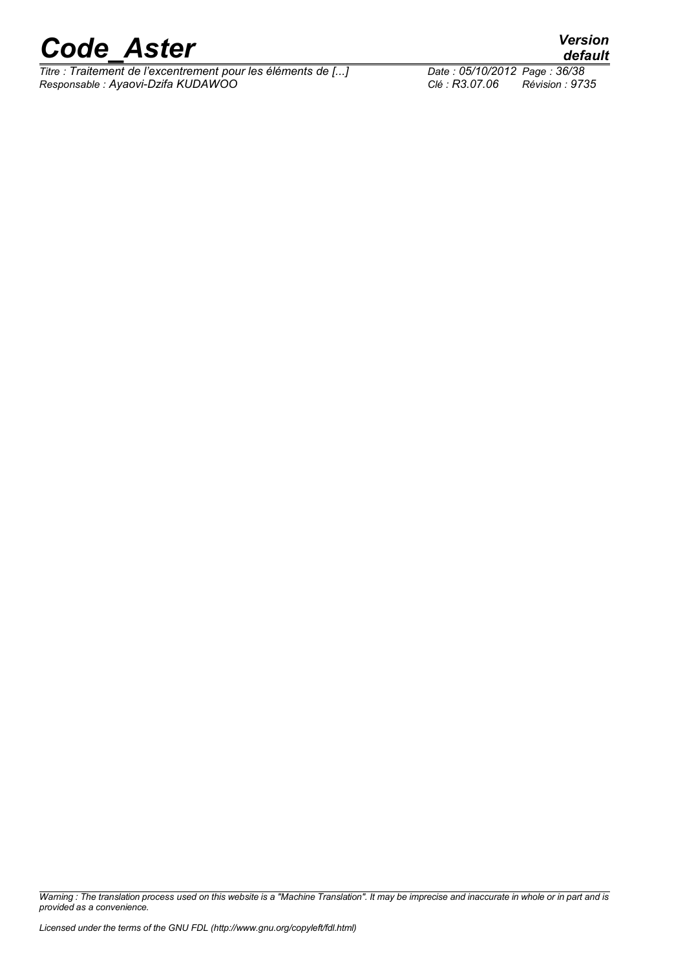*Titre : Traitement de l'excentrement pour les éléments de [...] Date : 05/10/2012 Page : 36/38 Responsable : Ayaovi-Dzifa KUDAWOO Clé : R3.07.06 Révision : 9735*

*default*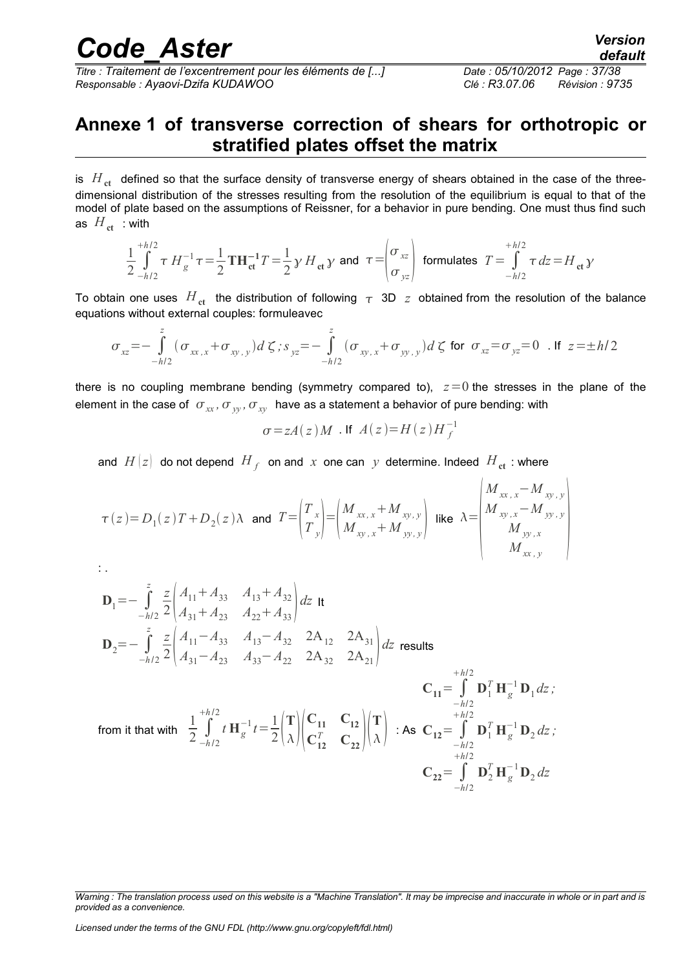*Titre : Traitement de l'excentrement pour les éléments de [...] Date : 05/10/2012 Page : 37/38 Responsable : Ayaovi-Dzifa KUDAWOO Clé : R3.07.06 Révision : 9735*

### **Annexe 1 of transverse correction of shears for orthotropic or stratified plates offset the matrix**

is  $H_{\rm ct}$  defined so that the surface density of transverse energy of shears obtained in the case of the threedimensional distribution of the stresses resulting from the resolution of the equilibrium is equal to that of the model of plate based on the assumptions of Reissner, for a behavior in pure bending. One must thus find such as  $H_{\text{ct}}$  : with

$$
\frac{1}{2} \int_{-h/2}^{+h/2} \tau H_g^{-1} \tau = \frac{1}{2} \mathbf{T} \mathbf{H}_{\mathbf{ct}}^{-1} T = \frac{1}{2} \gamma H_{\mathbf{ct}} \gamma \text{ and } \tau = \begin{pmatrix} \sigma_{xz} \\ \sigma_{yz} \end{pmatrix} \text{ formulas } T = \int_{-h/2}^{+h/2} \tau dz = H_{\mathbf{ct}} \gamma
$$

To obtain one uses  $H_{\text{ct}}$  the distribution of following  $\tau$  3D  $z$  obtained from the resolution of the balance equations without external couples: formuleavec

$$
\sigma_{xz} = -\int_{-h/2}^{z} (\sigma_{xx,x} + \sigma_{xy,y}) d\zeta; s_{yz} = -\int_{-h/2}^{z} (\sigma_{xy,x} + \sigma_{yy,y}) d\zeta \text{ for } \sigma_{xz} = \sigma_{yz} = 0 \text{ . If } z = \pm h/2
$$

there is no coupling membrane bending (symmetry compared to),  $z=0$  the stresses in the plane of the element in the case of  $\sigma_{xx}, \sigma_{yy}, \sigma_{yy}$  have as a statement a behavior of pure bending: with

$$
\sigma = zA(z)M \text{ . If } A(z) = H(z)H_f^{-1}
$$

and  $H\!\left(z\right)$  do not depend  $\,H_{\,f}\,$  on and  $\,x\,$  one can  $\,y\,$  determine. Indeed  $\,H_{\,\rm et}\,$  : where

$$
\tau(z) = D_1(z)T + D_2(z)\lambda \text{ and } T = \begin{pmatrix} T \\ T \\ y \end{pmatrix} = \begin{pmatrix} M_{xx,x} + M_{xy,y} \\ M_{xy,x} + M_{yy,y} \end{pmatrix} \text{ like } \lambda = \begin{pmatrix} M_{xx,x} - M_{xy,y} \\ M_{xy,x} - M_{yy,y} \\ M_{yy,x} \\ M_{xx,y} \end{pmatrix}
$$

: .

$$
\mathbf{D}_{1} = -\int_{-h/2}^{z} \frac{z}{2} \begin{pmatrix} A_{11} + A_{33} & A_{13} + A_{32} \ A_{31} + A_{23} & A_{22} + A_{33} \end{pmatrix} dz \text{ It}
$$
\n
$$
\mathbf{D}_{2} = -\int_{-h/2}^{z} \frac{z}{2} \begin{pmatrix} A_{11} - A_{33} & A_{13} - A_{32} & 2A_{12} & 2A_{31} \ A_{31} - A_{23} & A_{33} - A_{22} & 2A_{32} & 2A_{21} \end{pmatrix} dz \text{ results}
$$
\nfrom it that with  $\frac{1}{2} \int_{-h/2}^{+h/2} t \mathbf{H}_{g}^{-1} t = \frac{1}{2} \begin{pmatrix} \mathbf{T} \\ \lambda \end{pmatrix} \begin{pmatrix} \mathbf{C}_{11} & \mathbf{C}_{12} \\ \mathbf{C}_{12}^{T} & \mathbf{C}_{22} \end{pmatrix} \begin{pmatrix} \mathbf{T} \\ \lambda \end{pmatrix} : \text{As } \mathbf{C}_{12} = \int_{-h/2}^{+h/2} \mathbf{D}_{1}^{T} \mathbf{H}_{g}^{-1} \mathbf{D}_{2} dz ;$ \n
$$
\mathbf{C}_{22} = \int_{-h/2}^{+h/2} \mathbf{D}_{2}^{T} \mathbf{H}_{g}^{-1} \mathbf{D}_{2} dz ;
$$

*Licensed under the terms of the GNU FDL (http://www.gnu.org/copyleft/fdl.html)*

*Warning : The translation process used on this website is a "Machine Translation". It may be imprecise and inaccurate in whole or in part and is provided as a convenience.*